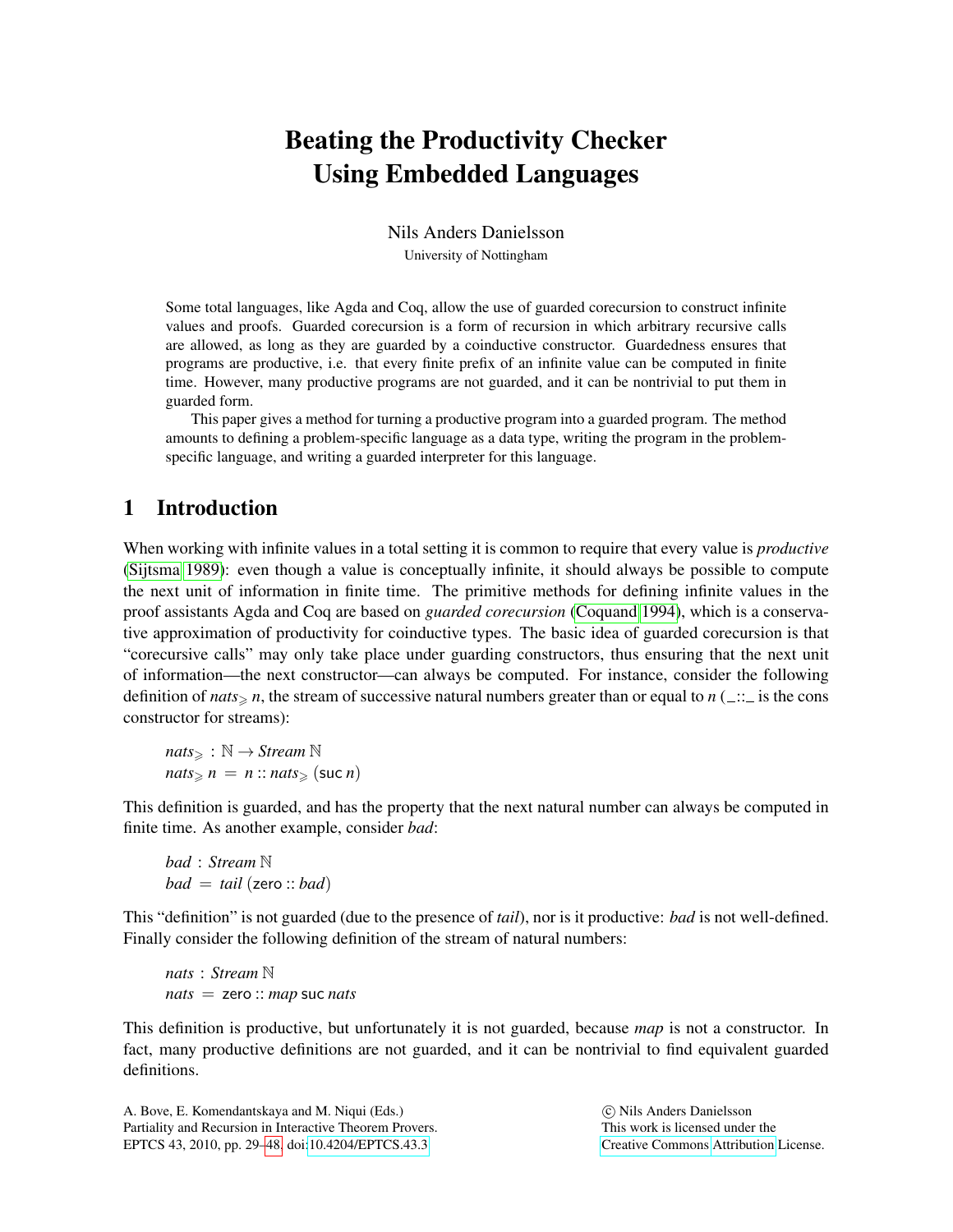# Beating the Productivity Checker Using Embedded Languages

Nils Anders Danielsson University of Nottingham

Some total languages, like Agda and Coq, allow the use of guarded corecursion to construct infinite values and proofs. Guarded corecursion is a form of recursion in which arbitrary recursive calls are allowed, as long as they are guarded by a coinductive constructor. Guardedness ensures that programs are productive, i.e. that every finite prefix of an infinite value can be computed in finite time. However, many productive programs are not guarded, and it can be nontrivial to put them in guarded form.

This paper gives a method for turning a productive program into a guarded program. The method amounts to defining a problem-specific language as a data type, writing the program in the problemspecific language, and writing a guarded interpreter for this language.

# <span id="page-0-0"></span>1 Introduction

When working with infinite values in a total setting it is common to require that every value is *productive* [\(Sijtsma 1989\)](#page-19-1): even though a value is conceptually infinite, it should always be possible to compute the next unit of information in finite time. The primitive methods for defining infinite values in the proof assistants Agda and Coq are based on *guarded corecursion* [\(Coquand 1994\)](#page-18-0), which is a conservative approximation of productivity for coinductive types. The basic idea of guarded corecursion is that "corecursive calls" may only take place under guarding constructors, thus ensuring that the next unit of information—the next constructor—can always be computed. For instance, consider the following definition of *nats*  $\geq n$ , the stream of successive natural numbers greater than or equal to *n* ( $\equiv$  :: is the cons constructor for streams):

*nats*<sup>&</sup>gt; : N → *Stream* N  $nats \geqslant n = n$  ::  $nats \geqslant$  (suc *n*)

This definition is guarded, and has the property that the next natural number can always be computed in finite time. As another example, consider *bad*:

*bad* : *Stream* N  $bad = tail$  (zero :: *bad*)

This "definition" is not guarded (due to the presence of *tail*), nor is it productive: *bad* is not well-defined. Finally consider the following definition of the stream of natural numbers:

*nats* : *Stream* N *nats* = zero :: *map* suc *nats*

This definition is productive, but unfortunately it is not guarded, because *map* is not a constructor. In fact, many productive definitions are not guarded, and it can be nontrivial to find equivalent guarded definitions.

A. Bove, E. Komendantskaya and M. Niqui (Eds.) Partiality and Recursion in Interactive Theorem Provers. EPTCS 43, 2010, pp. 29[–48,](#page-19-0) doi[:10.4204/EPTCS.43.3](http://dx.doi.org/10.4204/EPTCS.43.3)

 c Nils Anders Danielsson This work is licensed under the [Creative Commons](http://creativecommons.org) [Attribution](http://creativecommons.org/licenses/by/3.0/) License.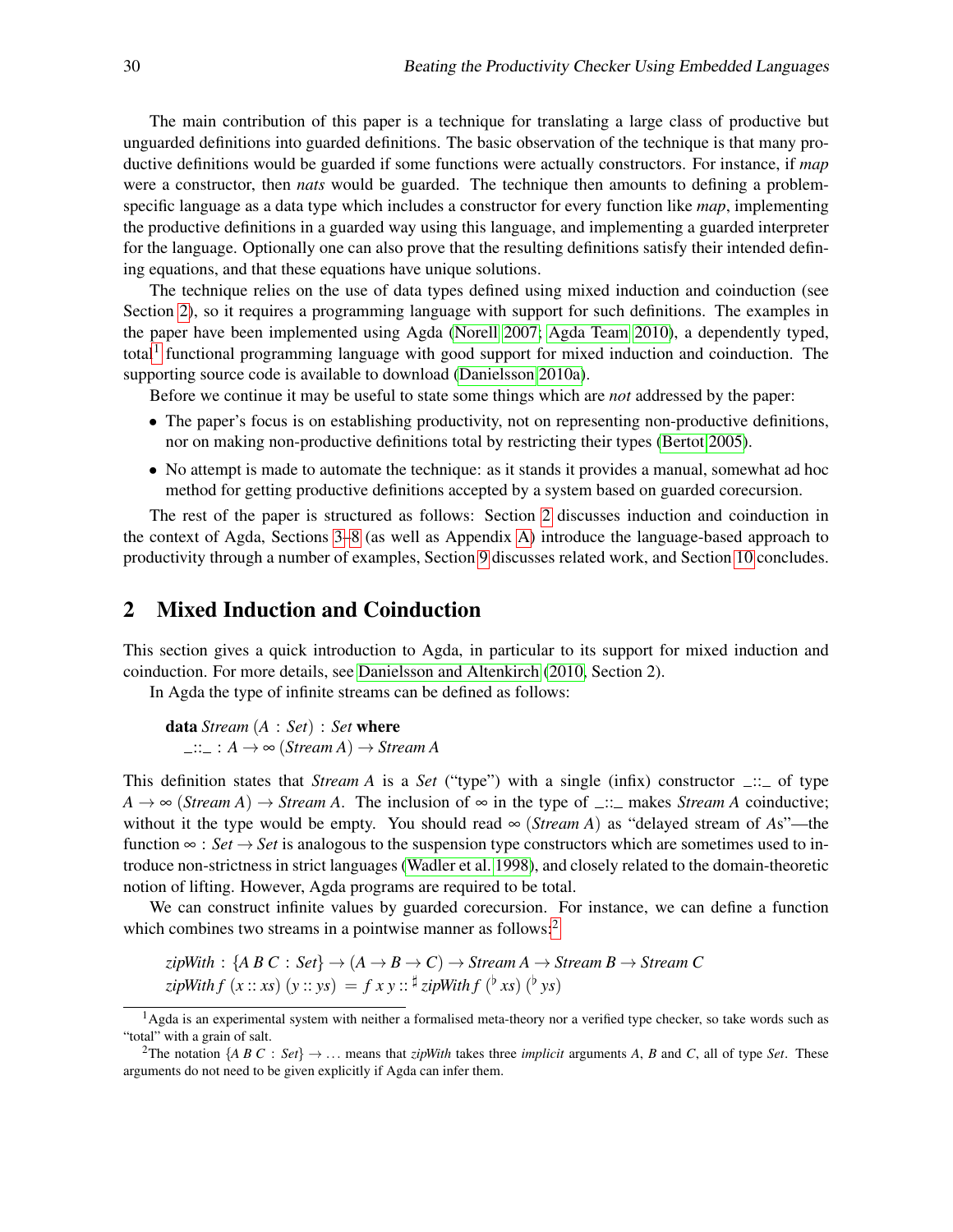The main contribution of this paper is a technique for translating a large class of productive but unguarded definitions into guarded definitions. The basic observation of the technique is that many productive definitions would be guarded if some functions were actually constructors. For instance, if *map* were a constructor, then *nats* would be guarded. The technique then amounts to defining a problemspecific language as a data type which includes a constructor for every function like *map*, implementing the productive definitions in a guarded way using this language, and implementing a guarded interpreter for the language. Optionally one can also prove that the resulting definitions satisfy their intended defining equations, and that these equations have unique solutions.

The technique relies on the use of data types defined using mixed induction and coinduction (see Section [2\)](#page-1-0), so it requires a programming language with support for such definitions. The examples in the paper have been implemented using Agda [\(Norell 2007;](#page-19-2) [Agda Team 2010\)](#page-18-1), a dependently typed, total<sup>[1](#page-1-1)</sup> functional programming language with good support for mixed induction and coinduction. The supporting source code is available to download [\(Danielsson 2010a\)](#page-18-2).

Before we continue it may be useful to state some things which are *not* addressed by the paper:

- The paper's focus is on establishing productivity, not on representing non-productive definitions, nor on making non-productive definitions total by restricting their types [\(Bertot 2005\)](#page-18-3).
- No attempt is made to automate the technique: as it stands it provides a manual, somewhat ad hoc method for getting productive definitions accepted by a system based on guarded corecursion.

The rest of the paper is structured as follows: Section [2](#page-1-0) discusses induction and coinduction in the context of Agda, Sections [3](#page-3-0)[–8](#page-13-0) (as well as Appendix [A\)](#page-16-0) introduce the language-based approach to productivity through a number of examples, Section [9](#page-14-0) discusses related work, and Section [10](#page-16-1) concludes.

### <span id="page-1-0"></span>2 Mixed Induction and Coinduction

This section gives a quick introduction to Agda, in particular to its support for mixed induction and coinduction. For more details, see [Danielsson and Altenkirch](#page-18-4) [\(2010,](#page-18-4) Section 2).

In Agda the type of infinite streams can be defined as follows:

data *Stream* (*A* : *Set*) : *Set* where  $\therefore$ :  $A \rightarrow \infty$  (*Stream A*)  $\rightarrow$  *Stream A* 

This definition states that *Stream A* is a *Set* ("type") with a single (infix) constructor  $\frac{d}{dx}$ : of type  $A \rightarrow \infty$  (*Stream A*)  $\rightarrow$  *Stream A*. The inclusion of  $\infty$  in the type of  $\ldots$  makes *Stream A* coinductive; without it the type would be empty. You should read  $\infty$  (*Stream A*) as "delayed stream of *As*"—the function  $\infty$  : *Set*  $\rightarrow$  *Set* is analogous to the suspension type constructors which are sometimes used to introduce non-strictness in strict languages [\(Wadler et al. 1998\)](#page-19-3), and closely related to the domain-theoretic notion of lifting. However, Agda programs are required to be total.

We can construct infinite values by guarded corecursion. For instance, we can define a function which combines two streams in a pointwise manner as follows:<sup>[2](#page-1-2)</sup>

 $zipWith : \{A \ B \ C : \ Set\} \rightarrow (A \rightarrow B \rightarrow C) \rightarrow Stream \ A \rightarrow Stream \ B \rightarrow Stream \ C$  $zipWith f(x:: xs) (y:: ys) = f xy :: \frac{\sharp}{xy}$   $zipWith f (^b xs) (^b ys)$ 

<span id="page-1-1"></span><sup>&</sup>lt;sup>1</sup>Agda is an experimental system with neither a formalised meta-theory nor a verified type checker, so take words such as "total" with a grain of salt.

<span id="page-1-2"></span><sup>&</sup>lt;sup>2</sup>The notation  $\{A \ B \ C : \ Set\} \rightarrow \dots$  means that *zipWith* takes three *implicit* arguments *A*, *B* and *C*, all of type *Set*. These arguments do not need to be given explicitly if Agda can infer them.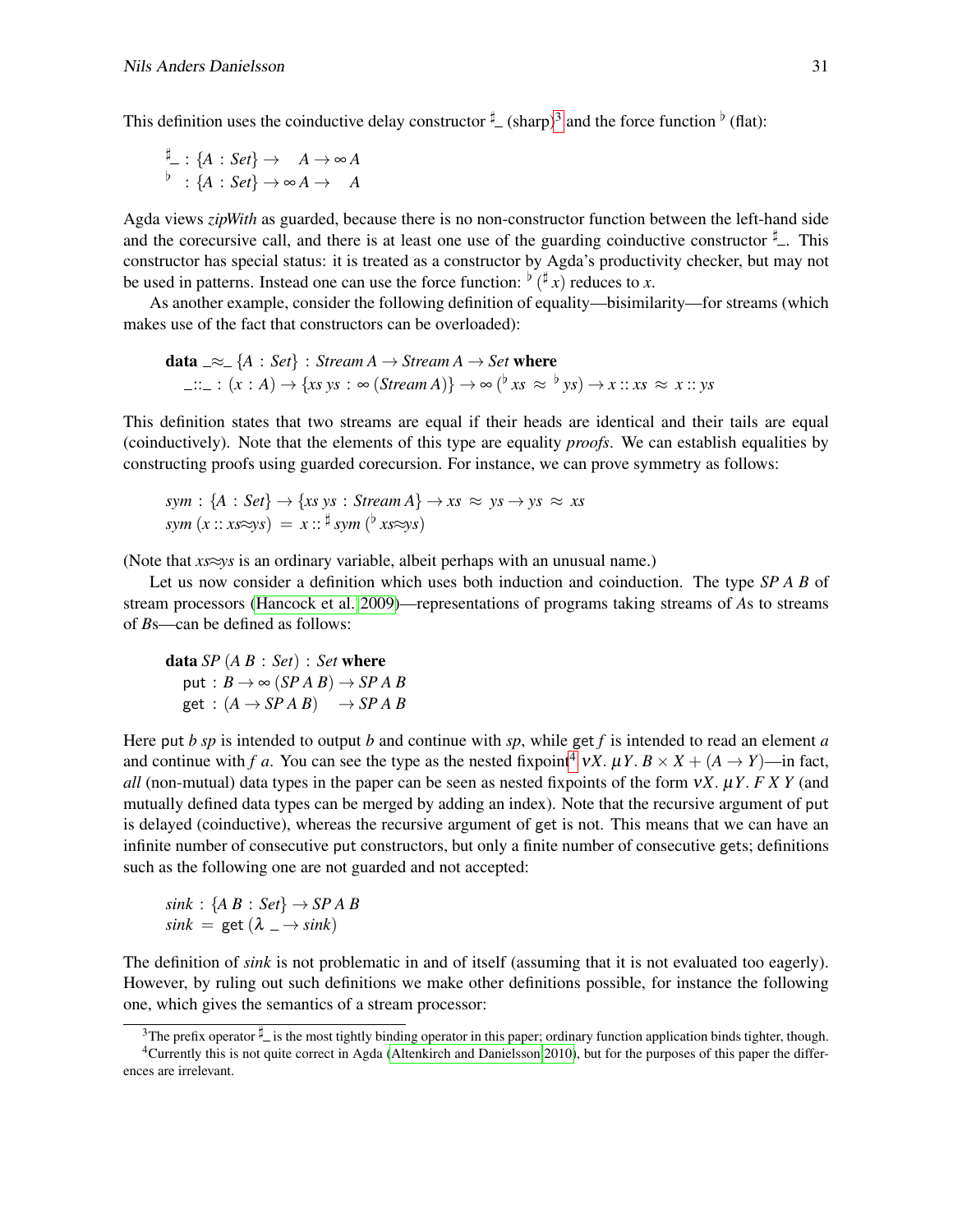This definition uses the coinductive delay constructor  $\frac{d}{dr}$  (sharp)<sup>[3](#page-2-0)</sup> and the force function  $\frac{d}{dr}$  (flat):

$$
\xrightarrow{\sharp} : \{A : Set\} \to A \to \infty A
$$
  

$$
\xrightarrow{b} : \{A : Set\} \to \infty A \to A
$$

Agda views *zipWith* as guarded, because there is no non-constructor function between the left-hand side and the corecursive call, and there is at least one use of the guarding coinductive constructor  $\frac{\mu}{\mu}$ . This constructor has special status: it is treated as a constructor by Agda's productivity checker, but may not be used in patterns. Instead one can use the force function:  $\phi(\textbf{\texttt{\texttt{\#}}} x)$  reduces to *x*.

As another example, consider the following definition of equality—bisimilarity—for streams (which makes use of the fact that constructors can be overloaded):

**data** \_ 
$$
\approx
$$
 {*A* : *Set*} : *Stream A*  $\rightarrow$  *Stream A*  $\rightarrow$  *Set* **where**  
 ... :  $(x : A) \rightarrow \{xs \ ys : \in (Stream A)\} \rightarrow \infty$  ( $^{\flat} xs \approx {^{\flat}ys}) \rightarrow x :: xs \approx x :: ys$ 

This definition states that two streams are equal if their heads are identical and their tails are equal (coinductively). Note that the elements of this type are equality *proofs*. We can establish equalities by constructing proofs using guarded corecursion. For instance, we can prove symmetry as follows:

 $sym : \{A : Set\} \rightarrow \{xs\;ys : Stream\;A\} \rightarrow xs \approx ys \rightarrow ys \approx xs$  $sym(x::xs\approx ys) = x::^{\sharp}sym(^{\flat}xs\approx ys)$ 

(Note that *xs*≈*ys* is an ordinary variable, albeit perhaps with an unusual name.)

Let us now consider a definition which uses both induction and coinduction. The type *SP A B* of stream processors [\(Hancock et al. 2009\)](#page-18-5)—representations of programs taking streams of *A*s to streams of *B*s—can be defined as follows:

data *SP* (*A B* : *Set*) : *Set* where put :  $B \rightarrow \infty$  (*SPAB*)  $\rightarrow$  *SPAB*  $get : (A \rightarrow SP A B) \rightarrow SP A B$ 

Here put *b sp* is intended to output *b* and continue with *sp*, while get *f* is intended to read an element *a* and continue with *f a*. You can see the type as the nested fixpoint<sup>[4](#page-2-1)</sup>  $V X$ .  $\mu Y$ .  $B \times X + (A \rightarrow Y)$ —in fact, *all* (non-mutual) data types in the paper can be seen as nested fixpoints of the form ν*X*. µ*Y*. *F X Y* (and mutually defined data types can be merged by adding an index). Note that the recursive argument of put is delayed (coinductive), whereas the recursive argument of get is not. This means that we can have an infinite number of consecutive put constructors, but only a finite number of consecutive gets; definitions such as the following one are not guarded and not accepted:

$$
sink : \{A B : Set\} \rightarrow SP A B
$$
  

$$
sink = get (\lambda \rightarrow sink)
$$

The definition of *sink* is not problematic in and of itself (assuming that it is not evaluated too eagerly). However, by ruling out such definitions we make other definitions possible, for instance the following one, which gives the semantics of a stream processor:

<span id="page-2-1"></span><span id="page-2-0"></span><sup>&</sup>lt;sup>3</sup>The prefix operator  $\sharp$  is the most tightly binding operator in this paper; ordinary function application binds tighter, though. <sup>4</sup>Currently this is not quite correct in Agda [\(Altenkirch and Danielsson 2010\)](#page-18-6), but for the purposes of this paper the differences are irrelevant.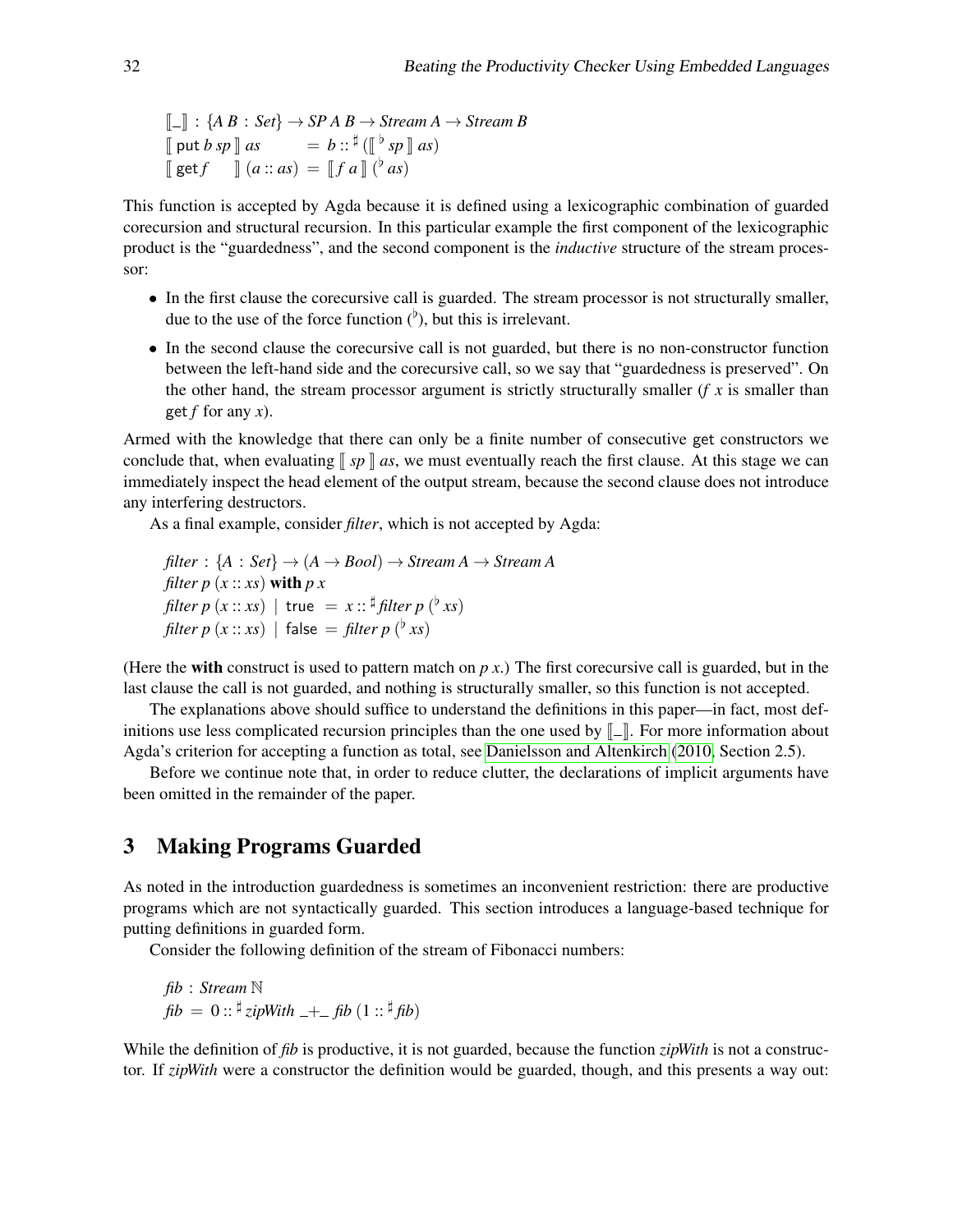$$
\begin{array}{ll}\n\llbracket - \rrbracket : \{ A \, B : Set \} \to \mathit{SP} \, A \, B \to \mathit{Stream} \, A \to \mathit{Stream} \, B \\
\llbracket \, \mathsf{put} \, b \, \mathsf{sp} \, \rrbracket \, \mathsf{as} &= b :: \, ^\sharp \left( \begin{bmatrix} \flat & \mathsf{sp} \, \rrbracket \, \mathsf{as} \right) \\
\llbracket \, \mathsf{get} \, f \end{bmatrix} \, (a :: as) = \llbracket f \, a \, \rrbracket \, ( ^\flat \, \mathsf{as} )\n\end{array}
$$

This function is accepted by Agda because it is defined using a lexicographic combination of guarded corecursion and structural recursion. In this particular example the first component of the lexicographic product is the "guardedness", and the second component is the *inductive* structure of the stream processor:

- In the first clause the corecursive call is guarded. The stream processor is not structurally smaller, due to the use of the force function  $($ <sup>b</sup>), but this is irrelevant.
- In the second clause the corecursive call is not guarded, but there is no non-constructor function between the left-hand side and the corecursive call, so we say that "guardedness is preserved". On the other hand, the stream processor argument is strictly structurally smaller  $(f \, x \, \text{is smaller than})$ get *f* for any *x*).

Armed with the knowledge that there can only be a finite number of consecutive get constructors we conclude that, when evaluating  $\llbracket sp \rrbracket$  *as*, we must eventually reach the first clause. At this stage we can immediately inspect the head element of the output stream, because the second clause does not introduce any interfering destructors.

As a final example, consider *filter*, which is not accepted by Agda:

filter : {*A* : *Set*} 
$$
\rightarrow
$$
 (*A*  $\rightarrow$  *Bool*)  $\rightarrow$  *Stream A*  $\rightarrow$  *Stream A*  
*filter p* (*x* :: *xs*) **with** *p x*  
*filter p* (*x* :: *xs*) | **true** = *x* :: <sup>‡</sup>*filter p* (<sup>b</sup>*xs*)  
*filter p* (*x* :: *xs*) | **false** = *filter p* (<sup>b</sup>*xs*)

(Here the **with** construct is used to pattern match on  $p(x)$ ). The first corecursive call is guarded, but in the last clause the call is not guarded, and nothing is structurally smaller, so this function is not accepted.

The explanations above should suffice to understand the definitions in this paper—in fact, most definitions use less complicated recursion principles than the one used by  $\llbracket \cdot \rrbracket$ . For more information about Agda's criterion for accepting a function as total, see [Danielsson and Altenkirch](#page-18-4) [\(2010,](#page-18-4) Section 2.5).

Before we continue note that, in order to reduce clutter, the declarations of implicit arguments have been omitted in the remainder of the paper.

#### <span id="page-3-0"></span>3 Making Programs Guarded

As noted in the introduction guardedness is sometimes an inconvenient restriction: there are productive programs which are not syntactically guarded. This section introduces a language-based technique for putting definitions in guarded form.

Consider the following definition of the stream of Fibonacci numbers:

*fib* : *Stream* N  $fib = 0$ ::  $\frac{\sharp}{\text{zipWith}}$   $\frac{1}{-1}$  *fib*  $(1:: \frac{\sharp}{\text{fib}})$ 

While the definition of *fib* is productive, it is not guarded, because the function *zipWith* is not a constructor. If *zipWith* were a constructor the definition would be guarded, though, and this presents a way out: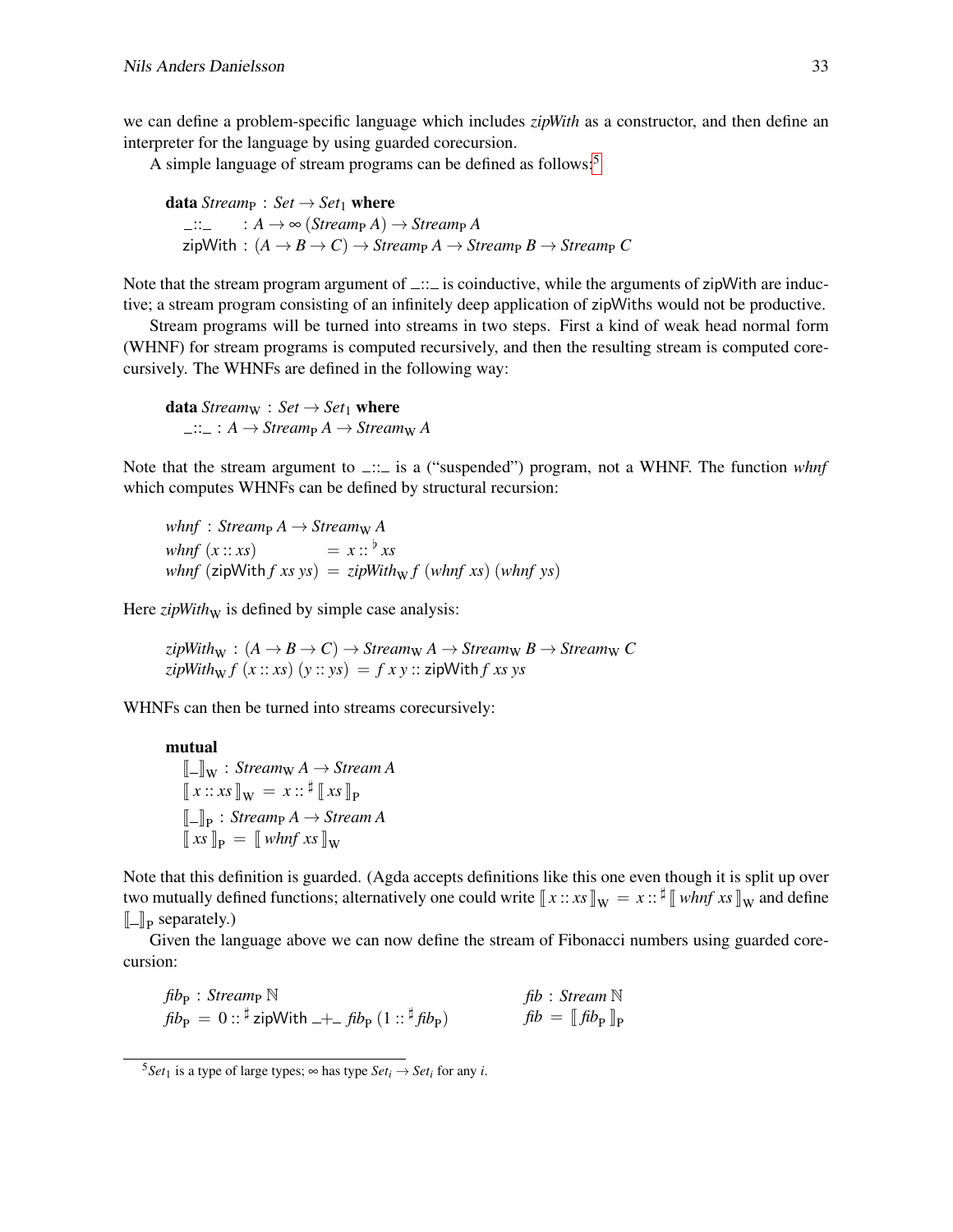we can define a problem-specific language which includes *zipWith* as a constructor, and then define an interpreter for the language by using guarded corecursion.

A simple language of stream programs can be defined as follows:<sup>[5](#page-4-0)</sup>

**data** *Stream*<sub>P</sub> : *Set*  $\rightarrow$  *Set*<sub>1</sub> **where**  $\Rightarrow$ ::  $A \rightarrow \infty$  *(Stream<sub>P</sub>A)*  $\rightarrow$  *Stream<sub>P</sub>A*  $\mathsf{zipWith} : (A \rightarrow B \rightarrow C) \rightarrow \mathsf{Stream}_P A \rightarrow \mathsf{Stream}_P B \rightarrow \mathsf{Stream}_P C$ 

Note that the stream program argument of  $\Box$ : is coinductive, while the arguments of zipWith are inductive; a stream program consisting of an infinitely deep application of zipWiths would not be productive.

Stream programs will be turned into streams in two steps. First a kind of weak head normal form (WHNF) for stream programs is computed recursively, and then the resulting stream is computed corecursively. The WHNFs are defined in the following way:

data  $Stream_W : Set \rightarrow Set_1$  where  $\Box: \Box : A \rightarrow \mathit{Stream}_{P} A \rightarrow \mathit{Stream}_{W} A$ 

Note that the stream argument to  $\Box$  is a ("suspended") program, not a WHNF. The function *whnf* which computes WHNFs can be defined by structural recursion:

*whnf* : *Stream<sub>P</sub>*  $A \rightarrow$  *Stream<sub>W</sub>*  $A$ *whnf*  $(x:: xs)$  =  $x::^{\flat} xs$  $whnf$  (zipWith *f xs ys*) = *zipWith*<sub>W</sub> *f* (*whnf xs*) (*whnf ys*)

Here  $zipWith_{W}$  is defined by simple case analysis:

 $zipWith_{W} : (A \rightarrow B \rightarrow C) \rightarrow Stream_{W} A \rightarrow Stream_{W} B \rightarrow Stream_{W} C$  $\langle zipWith_{\mathbf{w}} f(x \, : \, \mathbf{x}s) (y \, : \, \mathbf{y}s) = f(x \, y \, : \, \mathbf{z} \mathbf{z})$ 

WHNFs can then be turned into streams corecursively:

mutual

 $\llbracket - \rrbracket_W$  : *Stream*  $A \rightarrow$  *Stream*  $A$  $\llbracket x :: xs \rrbracket_{\mathbf{W}} = x :: \mathbf{\sharp} \llbracket xs \rrbracket_{\mathbf{P}}$  $\llbracket \ln \text{supp} \cdot \text{Streamp } A \rightarrow \text{sn}$ <br> $\llbracket xs \rrbracket_p = \llbracket whnf xs \rrbracket_w$  $\llbracket \_ \rrbracket_{\mathbf{P}} : \textit{Stream}_{\mathbf{P}} A \rightarrow \textit{Stream } A$ 

Note that this definition is guarded. (Agda accepts definitions like this one even though it is split up over two mutually defined functions; alternatively one could write  $\llbracket x : : x_s \rrbracket_W = x : : \mathbb{I} \llbracket \text{ whnf } xs \rrbracket_W$  and define  $\llbracket \_ \rrbracket_{\rm P}$  separately.)

Given the language above we can now define the stream of Fibonacci numbers using guarded corecursion:

| $\operatorname{fib}_{\mathsf{P}}$ : Stream <sub>P</sub> $\mathbb N$                                                    | fib: Stream $\mathbb N$       |
|------------------------------------------------------------------------------------------------------------------------|-------------------------------|
| $fib_{\rm P} = 0$ :: $\frac{\dagger}{4}$ zipWith $- +$ $\int$ $fib_{\rm P}$ $(1$ :: $\frac{\dagger}{4}$ $fib_{\rm P})$ | $fib = [fib_{\rm p}]_{\rm p}$ |

<span id="page-4-0"></span><sup>&</sup>lt;sup>5</sup>*Set*<sub>1</sub> is a type of large types;  $\infty$  has type *Set<sub>i</sub>*  $\rightarrow$  *Set<sub>i</sub>* for any *i*.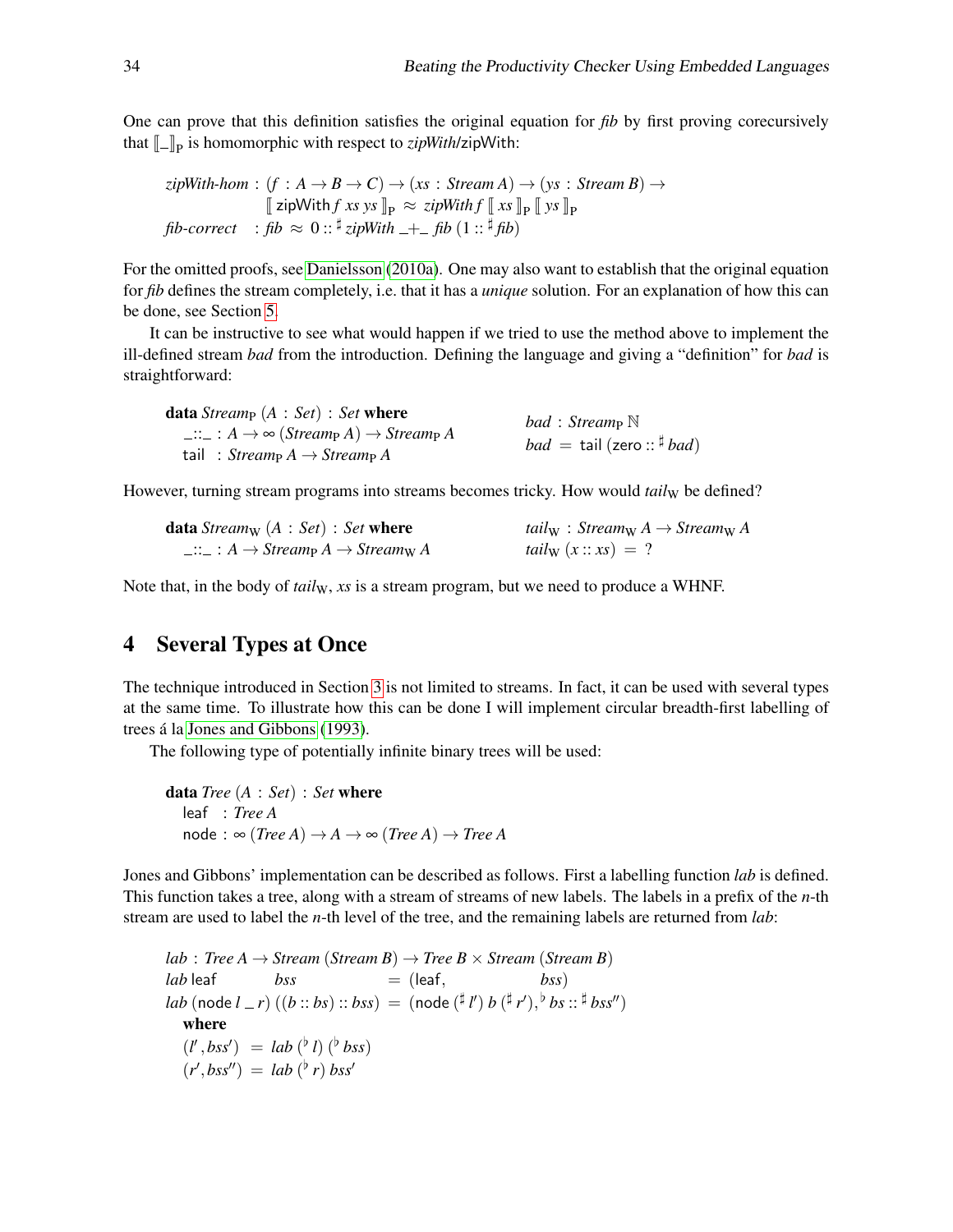One can prove that this definition satisfies the original equation for *fib* by first proving corecursively that  $[\![...]\!]_P$  is homomorphic with respect to *zipWith*/zipWith:

$$
zipWith\text{-}hom: (f: A \to B \to C) \to (xs: Stream A) \to (ys: Stream B) \to
$$
  
\n
$$
[zipWith f xs ys]_P \approx zipWith f [xs]_P [ys]_P
$$
  
\n
$$
fib\text{-}correct: fib \approx 0:: \frac{\sharp}{zipWith} +_ fib(1:: \frac{\sharp}{fb})
$$

For the omitted proofs, see [Danielsson](#page-18-2) [\(2010a\)](#page-18-2). One may also want to establish that the original equation for *fib* defines the stream completely, i.e. that it has a *unique* solution. For an explanation of how this can be done, see Section [5.](#page-8-0)

It can be instructive to see what would happen if we tried to use the method above to implement the ill-defined stream *bad* from the introduction. Defining the language and giving a "definition" for *bad* is straightforward:

| <b>data</b> Stream $(A : Set) : Set$ where<br>$\Box \colon A \to \infty$ (Streamp A) $\to$ Streamp A<br>tail: $Stream_{P} A \rightarrow Stream_{P} A$ | bad: Streamp $\mathbb N$<br><i>bad</i> = tail (zero: $\frac{4}{7}$ <i>bad</i> ) |
|-------------------------------------------------------------------------------------------------------------------------------------------------------|---------------------------------------------------------------------------------|
|-------------------------------------------------------------------------------------------------------------------------------------------------------|---------------------------------------------------------------------------------|

However, turning stream programs into streams becomes tricky. How would *tail*<sub>W</sub> be defined?

| <b>data</b> Stream <sub>W</sub> $(A : Set) : Set$ where      | tailw: $Stream_{W} A \rightarrow Stream_{W} A$ |
|--------------------------------------------------------------|------------------------------------------------|
| $\Box\colon A\to \mathit{Stream}_P A\to \mathit{Stream}_W A$ | tail <sub>W</sub> $(x::xs) = ?$                |

Note that, in the body of *tail*<sub>W</sub>, xs is a stream program, but we need to produce a WHNF.

# <span id="page-5-0"></span>4 Several Types at Once

The technique introduced in Section [3](#page-3-0) is not limited to streams. In fact, it can be used with several types at the same time. To illustrate how this can be done I will implement circular breadth-first labelling of trees á la [Jones and Gibbons](#page-19-4) [\(1993\)](#page-19-4).

The following type of potentially infinite binary trees will be used:

```
data Tree (A : Set) : Set where
   leaf : Tree A
   node: \infty (Tree A) \rightarrow A \rightarrow \infty (Tree A) \rightarrow Tree A
```
Jones and Gibbons' implementation can be described as follows. First a labelling function *lab* is defined. This function takes a tree, along with a stream of streams of new labels. The labels in a prefix of the *n*-th stream are used to label the *n*-th level of the tree, and the remaining labels are returned from *lab*:

*lab* : *Tree A*  $\rightarrow$  *Stream* (*Stream B*)  $\rightarrow$  *Tree B*  $\times$  *Stream* (*Stream B*)  $lab$  leaf  $bss$  = (leaf,  $bss$ )  $lab \text{ (node } l = r) \ ((b::bs) :: bss) = (\text{node } (l * l') b (l * r'), ^b bs :: ^{t}bss'')$ where  $(l', bss') = lab(^{\{b\}}l)(^{\{b\}}bss)$  $(r', bss'') = lab(^{\dagger}r)bss'$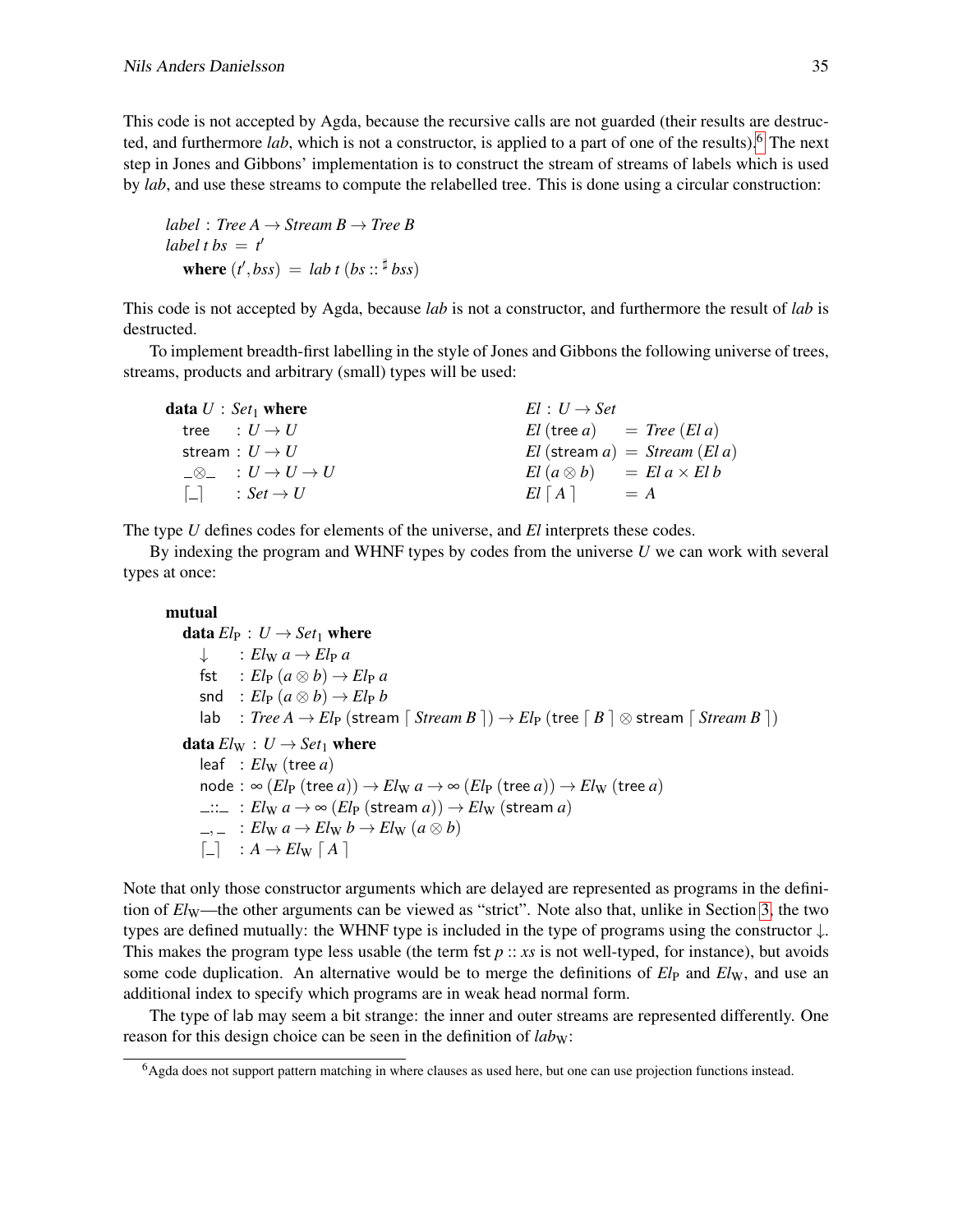This code is not accepted by Agda, because the recursive calls are not guarded (their results are destructed, and furthermore *lab*, which is not a constructor, is applied to a part of one of the results).[6](#page-6-0) The next step in Jones and Gibbons' implementation is to construct the stream of streams of labels which is used by *lab*, and use these streams to compute the relabelled tree. This is done using a circular construction:

*label* : *Tree A*  $\rightarrow$  *Stream B*  $\rightarrow$  *Tree B label t bs* =  $t'$ where  $(t', bss) = lab t (bs :: \frac{4}{5} bss)$ 

This code is not accepted by Agda, because *lab* is not a constructor, and furthermore the result of *lab* is destructed.

To implement breadth-first labelling in the style of Jones and Gibbons the following universe of trees, streams, products and arbitrary (small) types will be used:

| data $U: Set_1$ where             | $El: U \rightarrow Set$                 |
|-----------------------------------|-----------------------------------------|
| tree : $U \rightarrow U$          | $El$ (tree a) $= Tree$ (El a)           |
| stream : $U \rightarrow U$        | $El$ (stream $a) = Stream$ (El a)       |
| $\Box \otimes \_ : U \to U \to U$ | $El (a \otimes b)$ = $El a \times El b$ |
| $ \Box $ : Set $\rightarrow U$    | $El [A] = A$                            |

The type *U* defines codes for elements of the universe, and *El* interprets these codes.

By indexing the program and WHNF types by codes from the universe *U* we can work with several types at once:

```
mutual
      data El_P: U \rightarrow Set_1 where
            \downarrow : El_{\rm W} a \rightarrow El_{\rm P} afst : El_{\rm P} (a \otimes b) \rightarrow El_{\rm P} a\text{snd} : El_{\text{P}} (a \otimes b) \rightarrow El_{\text{P}} b\text{lab} \quad : \text{Tree } A \rightarrow \text{El}_P \text{ (stream } \lceil \text{ Stream } B \rceil) \rightarrow \text{El}_P \text{ (tree } \lceil B \rceil \otimes \text{stream } \lceil \text{ Stream } B \rceil)data El_W: U \rightarrow Set_1 where
            leaf : El_{\text{W}} (tree a)
            \text{node}: \infty \left( El_{\text{P}} \left( \text{tree } a \right) \right) \rightarrow El_{\text{W}} \left( a \rightarrow \infty \left( El_{\text{P}} \left( \text{tree } a \right) \right) \rightarrow El_{\text{W}} \left( \text{tree } a \right) \right)\lim_{m \to \infty} : El_{\mathbf{W}} a \to \infty (El_{\mathbf{P}} (stream a)) \to El_{\mathbf{W}} (stream a)
            \Rightarrow \quad : Elwa \rightarrow Elwb \rightarrow Elwa (a \otimes b)\begin{bmatrix} - \\ \end{bmatrix} : A \rightarrow El_{\mathbf{W}} \begin{bmatrix} A \end{bmatrix}
```
Note that only those constructor arguments which are delayed are represented as programs in the definition of  $El<sub>W</sub>$ —the other arguments can be viewed as "strict". Note also that, unlike in Section [3,](#page-3-0) the two types are defined mutually: the WHNF type is included in the type of programs using the constructor ↓. This makes the program type less usable (the term fst  $p:: xs$  is not well-typed, for instance), but avoids some code duplication. An alternative would be to merge the definitions of  $E l<sub>P</sub>$  and  $E l<sub>W</sub>$ , and use an additional index to specify which programs are in weak head normal form.

The type of lab may seem a bit strange: the inner and outer streams are represented differently. One reason for this design choice can be seen in the definition of *labw*:

<span id="page-6-0"></span><sup>6</sup>Agda does not support pattern matching in where clauses as used here, but one can use projection functions instead.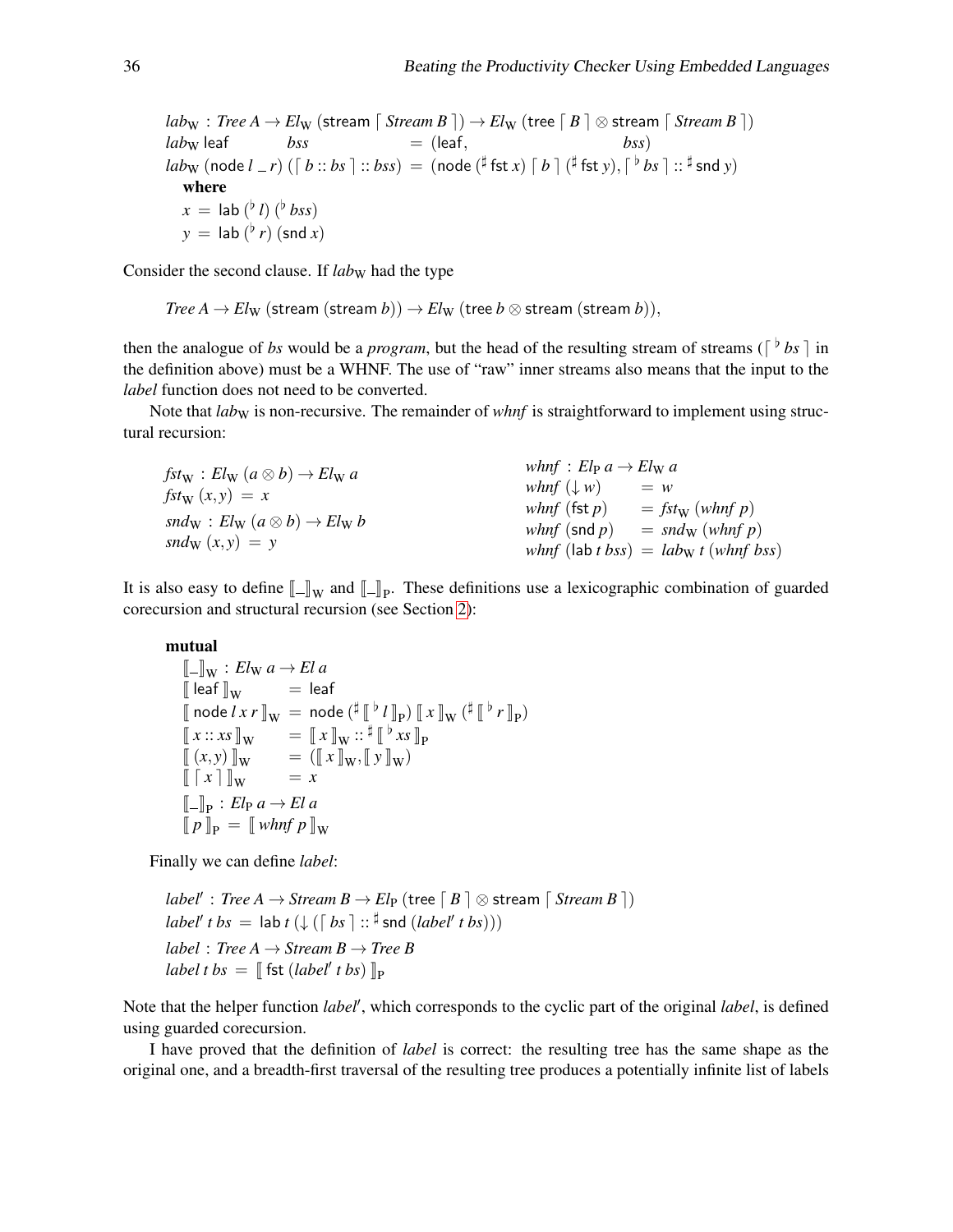$lab_{\text{W}}$  : *Tree A*  $\rightarrow$  *El<sub>W</sub>* (stream  $\lceil$  *Stream B*  $\rceil$  )  $\rightarrow$  *El<sub>W</sub>* (tree  $\lceil B \rceil \otimes$  stream  $\lceil$  *Stream B*  $\rceil$ )  $lab_{\text{W}}$  leaf  $bss$  = (leaf,  $lab_{\mathrm{W}} \; (\textsf{node} \ l \_r) \; (\lceil \; b::bs \rceil::bss) \, = \; (\textsf{node} \, (\overset{\sharp}{\textsf{f}} \textsf{fst} \, x) \; \lceil \; b \; \rceil \; (\overset{\sharp}{\textsf{f}} \textsf{st} \, y), \lceil \;^\flat \, bs \; \rceil::\overset{\sharp}{\textsf{f}} \textsf{snd} \, y)$ where  $x =$  lab ( $\frac{b}{l}$ ) ( $\frac{b}{b}$ *bss*)  $y =$  lab  $(^{\flat}r)$  (snd *x*)

Consider the second clause. If *laby* had the type

*Tree A*  $\rightarrow$  *El*<sub>W</sub> (stream (stream *b*))  $\rightarrow$  *El*<sub>W</sub> (tree *b*  $\otimes$  stream (stream *b*)),

then the analogue of *bs* would be a *program*, but the head of the resulting stream of streams ( $\lceil \frac{b}{b} s \rceil$  in the definition above) must be a WHNF. The use of "raw" inner streams also means that the input to the *label* function does not need to be converted.

Note that *lab*<sub>W</sub> is non-recursive. The remainder of *whnf* is straightforward to implement using structural recursion:

| $fst_{\mathbf{W}}: El_{\mathbf{W}} (a \otimes b) \rightarrow El_{\mathbf{W}} a$ | whnf: $El_{\rm P} a \rightarrow El_{\rm W} a$ |                                      |
|---------------------------------------------------------------------------------|-----------------------------------------------|--------------------------------------|
| $fst_{\mathbf{W}}(x,y) = x$                                                     | what $(\downarrow w)$                         | $= w$                                |
|                                                                                 | <i>whnf</i> (fst $p$ )                        | $= f_{stw}$ (whnf p)                 |
| snd $w : El_{W} (a \otimes b) \rightarrow El_{W} b$                             | <i>whnf</i> (snd $p$ )                        | $=$ snd <sub>W</sub> (whnf p)        |
| $\text{sn}d_{\mathrm{W}}(x, y) = y$                                             |                                               | whnf (lab t bss) = labw t (whnf bss) |

It is also easy to define  $[\![\_]\!]_W$  and  $[\![\_]\!]_P$ . These definitions use a lexicographic combination of guarded corresponent structural requirem (see Section 2). corecursion and structural recursion (see Section [2\)](#page-1-0):

#### mutual

 $\llbracket - \rrbracket_{\mathbf{W}} : El_{\mathbf{W}} \, a \rightarrow El \, a$  $\left\| \text{leaf} \right\|_{\mathbf{W}}$  = leaf  $\llbracket \text{node } l \, x \, r \, \rrbracket_{\mathrm{W}} \ = \ \text{node} \, ( \frac{\sharp \, \llbracket \, {}^{\flat} \, l \, \rrbracket_{\mathrm{P}} ) \, \llbracket \, x \, \rrbracket_{\mathrm{W}} \, ( \frac{\sharp \, \llbracket \, {}^{\flat} \, l \, \rrbracket_{\mathrm{W}} )}{\sharp \, \llbracket \, {}^{\sharp} \, \rrbracket_{\mathrm{W}}}$  $\begin{bmatrix} \mathbf{x} \ \vdots \ \mathbf{x} \end{bmatrix} \mathbf{x} = \begin{bmatrix} \mathbf{x} \ \mathbf{x} \end{bmatrix} \mathbf{x} : \mathbf{x} \mathbf{x} \end{bmatrix} \begin{bmatrix} \mathbf{x} \ \mathbf{x} \end{bmatrix} = \begin{bmatrix} \mathbf{x} \ \mathbf{x} \ \mathbf{x} \end{bmatrix} \begin{bmatrix} \mathbf{x} \ \mathbf{x} \end{bmatrix} \begin{bmatrix} \mathbf{x} \ \mathbf{x} \end{bmatrix}$ l<br>L  $\frac{1}{p}$   $r \parallel_{p}$  $\begin{bmatrix} (x, y) \\ \end{bmatrix}$  (*x*, *y*)  $\]$  w =  $\begin{bmatrix} (x, y) \\ \end{bmatrix}$  w =  $\begin{bmatrix} (x, y) \\ \end{bmatrix}$  w =  $\]$  $\llbracket \begin{bmatrix} x \\ \end{bmatrix} \rrbracket_{\mathbf{W}}$  = x  $\llbracket \mathbf{p} \rrbracket_{\mathbf{p}} = \llbracket \text{ whnf } p \rrbracket_{\mathbf{W}}$  $\llbracket \_p : El_P \, a \rightarrow El \, a$ 

Finally we can define *label*:

 $label' : Tree \: A \rightarrow Stream \: B \rightarrow El_{\mathrm{P}} \: (tree \mid B \mid \otimes \: \text{stream} \: B \mid)$  $label' t bs = lab t (\downarrow ( \lceil bs \rceil :: {}^{\sharp} \text{snd } (label' t bs)))$ *label* : *Tree A*  $\rightarrow$  *Stream B*  $\rightarrow$  *Tree B*  $label$  *t bs* =  $[\![$  fst (*label' t bs*)  $]\!]_P$ 

Note that the helper function *label'*, which corresponds to the cyclic part of the original *label*, is defined using guarded corecursion.

I have proved that the definition of *label* is correct: the resulting tree has the same shape as the original one, and a breadth-first traversal of the resulting tree produces a potentially infinite list of labels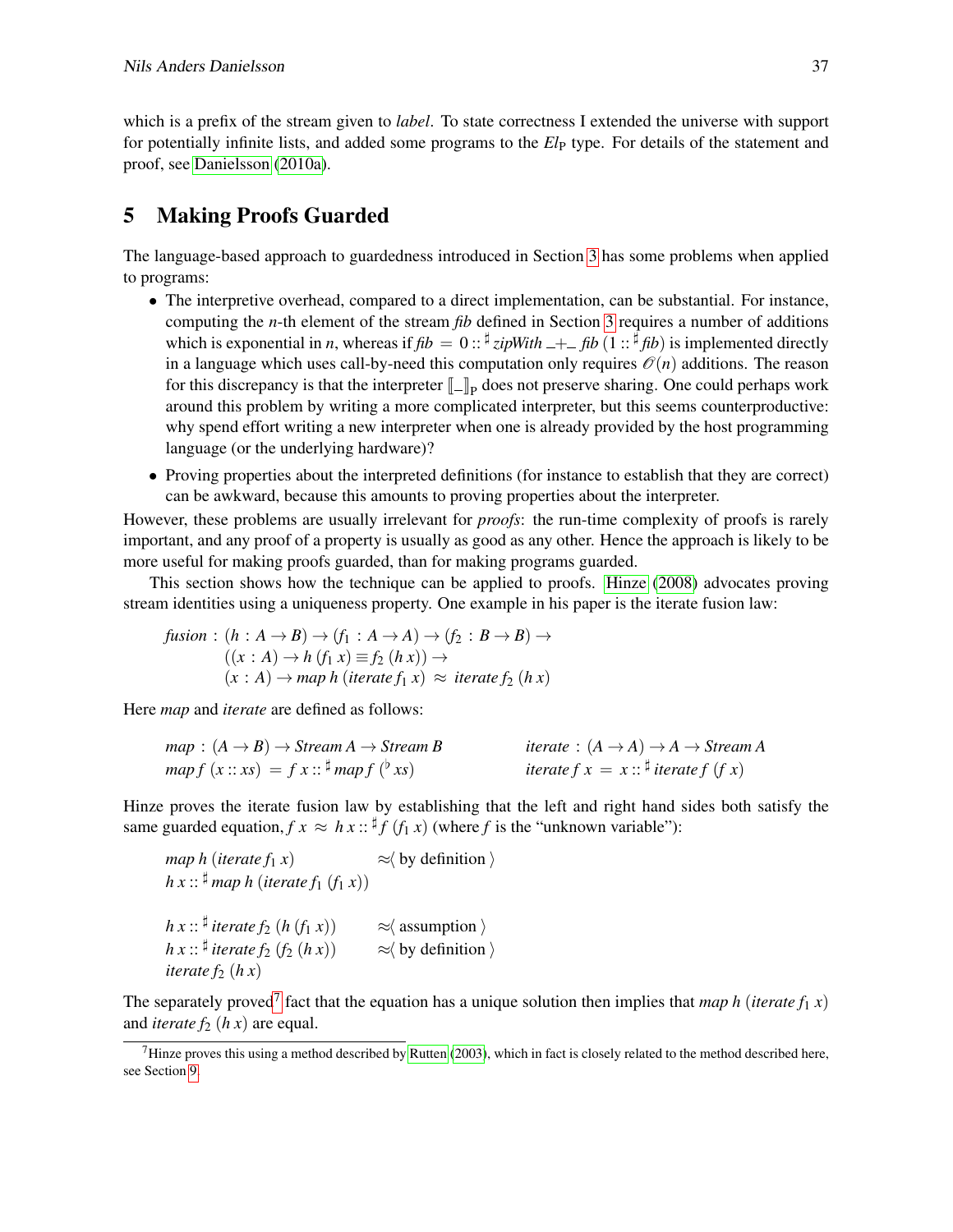which is a prefix of the stream given to *label*. To state correctness I extended the universe with support for potentially infinite lists, and added some programs to the *El*<sub>P</sub> type. For details of the statement and proof, see [Danielsson](#page-18-2) [\(2010a\)](#page-18-2).

# <span id="page-8-0"></span>5 Making Proofs Guarded

The language-based approach to guardedness introduced in Section [3](#page-3-0) has some problems when applied to programs:

- The interpretive overhead, compared to a direct implementation, can be substantial. For instance, computing the *n*-th element of the stream *fib* defined in Section [3](#page-3-0) requires a number of additions which is exponential in *n*, whereas if  $fb = 0$  ::  $\frac{d}{dx}$  *zipWith*  $\frac{d}{dx} + \frac{d}{dx}$  *fib*) is implemented directly in a language which uses call-by-need this computation only requires  $\mathcal{O}(n)$  additions. The reason for this discrepancy is that the interpreter  $\llbracket \_ \rrbracket$  does not preserve sharing. One could perhaps work<br>ground this problem by writing a more complicated interpreter, but this scene, counterproductively around this problem by writing a more complicated interpreter, but this seems counterproductive: why spend effort writing a new interpreter when one is already provided by the host programming language (or the underlying hardware)?
- Proving properties about the interpreted definitions (for instance to establish that they are correct) can be awkward, because this amounts to proving properties about the interpreter.

However, these problems are usually irrelevant for *proofs*: the run-time complexity of proofs is rarely important, and any proof of a property is usually as good as any other. Hence the approach is likely to be more useful for making proofs guarded, than for making programs guarded.

This section shows how the technique can be applied to proofs. [Hinze](#page-19-5) [\(2008\)](#page-19-5) advocates proving stream identities using a uniqueness property. One example in his paper is the iterate fusion law:

$$
\begin{aligned} \textit{fusion}: (h: A \to B) &\to (f_1: A \to A) \to (f_2: B \to B) \to \\ ((x: A) \to h \ (f_1 \ x) \equiv f_2 \ (h \ x)) \to \\ (x: A) &\to \textit{map } h \ (\textit{iterate } f_1 \ x) \approx \textit{iterate } f_2 \ (h \ x) \end{aligned}
$$

Here *map* and *iterate* are defined as follows:

| $map : (A \rightarrow B) \rightarrow Stream A \rightarrow Stream B$ | <i>iterate</i> : $(A \rightarrow A) \rightarrow A \rightarrow Stream A$ |
|---------------------------------------------------------------------|-------------------------------------------------------------------------|
| $map f(x::xs) = f x :: \frac{\beta}{n} map f(\frac{\beta}{x}s)$     | iterate $f x = x : \mathbb{I}$ iterate $f(f x)$                         |

Hinze proves the iterate fusion law by establishing that the left and right hand sides both satisfy the same guarded equation,  $f \colon x \approx h \colon x : f \colon f \colon f(x)$  (where *f* is the "unknown variable"):

map h (iterate f<sub>1</sub> x) 
$$
\approx
$$
 (by definition)  
\nh x ::  $\stackrel{\text{#}}{\ast}$ map h (iterate f<sub>1</sub> (f<sub>1</sub> x))  
\nh x ::  $\stackrel{\text{#}}{\ast}$  iterate f<sub>2</sub> (h (f<sub>1</sub> x))  $\approx$  (assumption)  
\nh x ::  $\stackrel{\text{#}}{\ast}$  iterate f<sub>2</sub> (f<sub>2</sub> (h x))  $\approx$  (by definition)  
\n $\text{iterate } f_2$  (h x)

The separately proved<sup>[7](#page-8-1)</sup> fact that the equation has a unique solution then implies that *map h* (*iterate*  $f_1$  *x*) and *iterate*  $f_2$  (*h x*) are equal.

<span id="page-8-1"></span> $<sup>7</sup>$ Hinze proves this using a method described by [Rutten](#page-19-6) [\(2003\)](#page-19-6), which in fact is closely related to the method described here,</sup> see Section [9.](#page-14-0)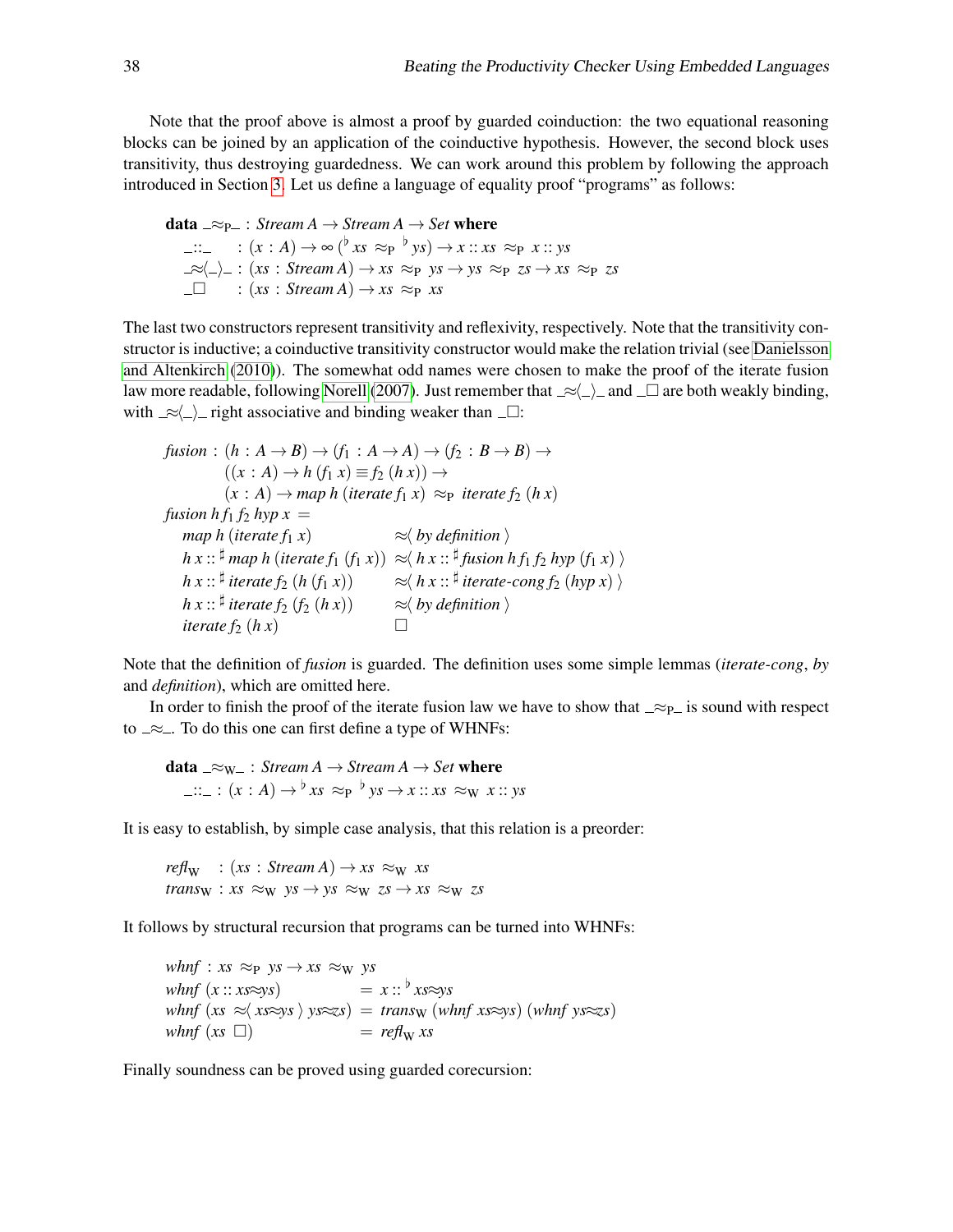Note that the proof above is almost a proof by guarded coinduction: the two equational reasoning blocks can be joined by an application of the coinductive hypothesis. However, the second block uses transitivity, thus destroying guardedness. We can work around this problem by following the approach introduced in Section [3.](#page-3-0) Let us define a language of equality proof "programs" as follows:

data  $\supseteq \supseteq_{P-}:$  *Stream A*  $\rightarrow$  *Stream A*  $\rightarrow$  *Set* where ::.  $(x : A)$  → ∞ (<sup>b</sup> *xs* ≈p <sup>b</sup> *ys*) → *x* :: *xs* ≈p *x* :: *ys*  $\exists z \in \Box$  :  $(xs : Stream A) \rightarrow xs \approx_{P} ys \rightarrow ys \approx_{P} zs \rightarrow xs \approx_{P} zs$  $\Box$  :  $(xs : Stream A) \rightarrow xs \approx_{P} xs$ 

The last two constructors represent transitivity and reflexivity, respectively. Note that the transitivity constructor is inductive; a coinductive transitivity constructor would make the relation trivial (see [Danielsson](#page-18-4) [and Altenkirch](#page-18-4) [\(2010\)](#page-18-4)). The somewhat odd names were chosen to make the proof of the iterate fusion law more readable, following [Norell](#page-19-2) [\(2007\)](#page-19-2). Just remember that  $\ll \Delta$  and  $\Box$  are both weakly binding, with  $\approx$   $\ge$  ight associative and binding weaker than  $\Box$ :

```
fusion: (h: A \rightarrow B) \rightarrow (f_1: A \rightarrow A) \rightarrow (f_2: B \rightarrow B) \rightarrow((x : A) \rightarrow h (f_1 x) \equiv f_2 (h x)) \rightarrow(x : A) \rightarrow map h (iterate f<sub>1</sub> x) \approx_{P} iterate f<sub>2</sub> (h x)fusion h f<sub>1</sub> f_2 hyp x =map h (iterate f_1 x) \approx \langle by definition \rangleh x :: ^{\sharp} map h (iterate f_1 (f_1 x)) \approx \langle h x :: ^{\sharp} fusion hf_1 f_2 hyp (f_1 x) \rangleh x :: \sharp iterate f_2 (h(f_1 x)) \approx \langle h x : : \sharp iterate-cong f_2 (hyp x) \rangleh x :: <sup>\sharp</sup> iterate f_2(f_2(hx)) \qquad \approx h \lor definition \rangleiterate f_2(hx)
```
Note that the definition of *fusion* is guarded. The definition uses some simple lemmas (*iterate-cong*, *by* and *definition*), which are omitted here.

In order to finish the proof of the iterate fusion law we have to show that  $\approx_{\text{P}}$  is sound with respect to  $\approx$  . To do this one can first define a type of WHNFs:

data  $\_\approx w_$ : *Stream A*  $\rightarrow$  *Stream A*  $\rightarrow$  *Set* where  $::_- : (x : A) \rightarrow {}^{\flat} xs \approx_{P} {}^{\flat} ys \rightarrow x :: xs \approx_{W} x :: ys$ 

It is easy to establish, by simple case analysis, that this relation is a preorder:

 $refl<sub>W</sub> : (xs : Stream A) \rightarrow xs \approx_W xs$  $trans_{\text{W}}$  :  $xs \approx_{\text{W}}$   $ys \rightarrow ys \approx_{\text{W}}$   $zs \rightarrow xs \approx_{\text{W}}$  zs

It follows by structural recursion that programs can be turned into WHNFs:

*whnf* :  $xs \approx_{P} ys \rightarrow xs \approx_{W} ys$  $whnf(x::xs\approx ys)$  =  $x::^{\flat}xs\approx ys$  $whnf$  ( $xs \approx x \cdot x \cdot ys$  )  $ys \approx z \cdot s$ ) = *trans*w (*whnf xs*≈*ys*) (*whnf ys*≈*zs*)  $whnf(xs \Box)$  =  $ref_w xs$ 

Finally soundness can be proved using guarded corecursion: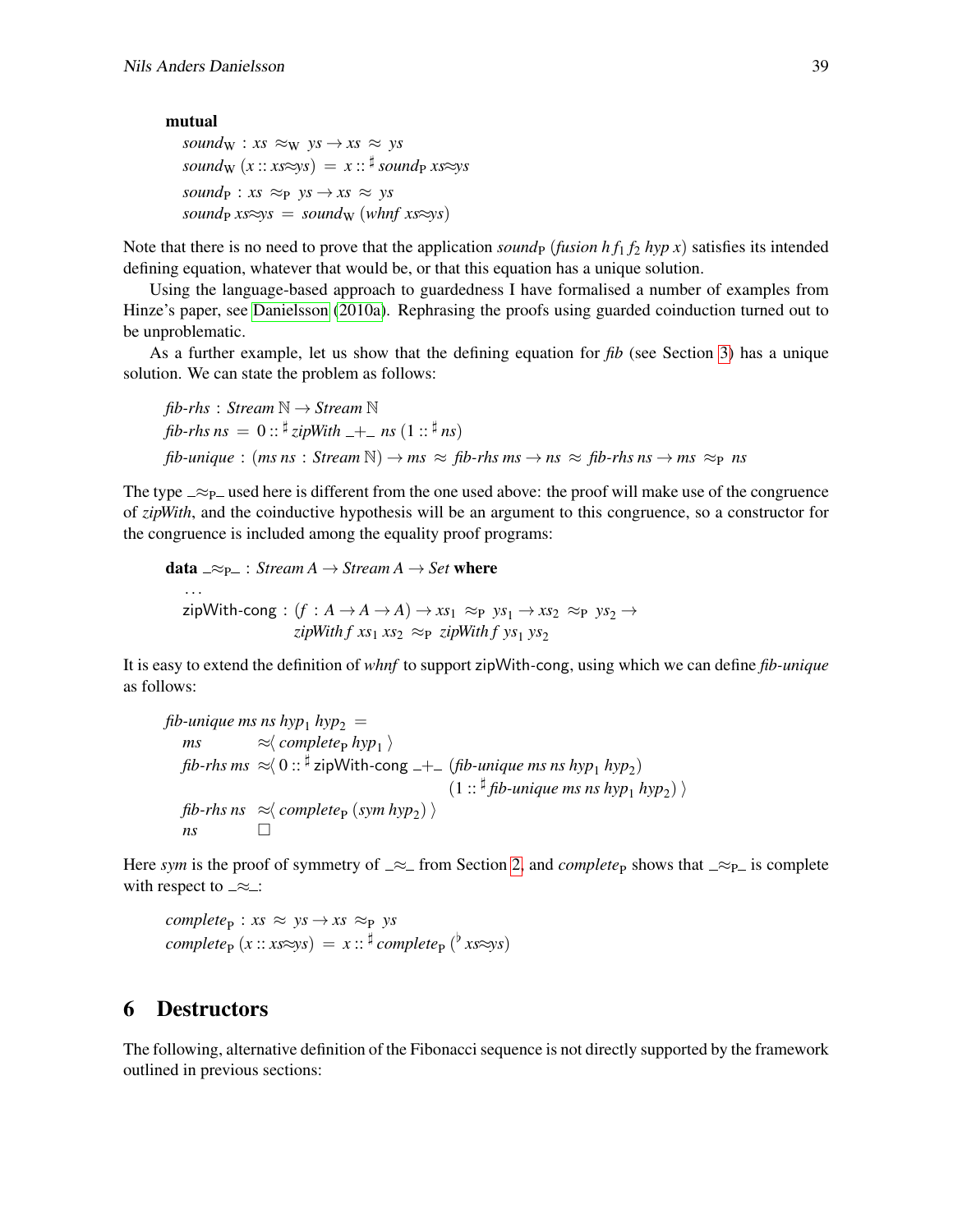#### mutual

```
soundW : xs \approx_{W} ys \rightarrow xs \approx yssound_{W}(x::xs\approx ys) = x::^{\sharp} sound_{P} xs\approx yssound<sub>P</sub> : xs \approx_{P} ys \rightarrow xs \approx yssound_P xs \approx ys = sound_W (whnf xs\approxys)
```
Note that there is no need to prove that the application *sound*<sub>P</sub> (*fusion h*  $f_1$ ,  $f_2$  *hyp x*) satisfies its intended defining equation, whatever that would be, or that this equation has a unique solution.

Using the language-based approach to guardedness I have formalised a number of examples from Hinze's paper, see [Danielsson](#page-18-2) [\(2010a\)](#page-18-2). Rephrasing the proofs using guarded coinduction turned out to be unproblematic.

As a further example, let us show that the defining equation for *fib* (see Section [3\)](#page-3-0) has a unique solution. We can state the problem as follows:

```
fib-rhs : Stream \mathbb{N} \rightarrow Stream \mathbb{N}fib-rhs ns = 0 :: \frac{\sharp}{\text{z}ipWith} \frac{1}{n} ns(1::^{\frac{\sharp}{n}})fib-unique : (ms ns : Stream \mathbb{N}) \rightarrow ms \approx fib-rhs ms \rightarrow ns \approx fib-rhs ns \rightarrow ms \approx p ns
```
The type  $\approx_{\mathcal{P}}$  used here is different from the one used above: the proof will make use of the congruence of *zipWith*, and the coinductive hypothesis will be an argument to this congruence, so a constructor for the congruence is included among the equality proof programs:

```
data \supseteq \supseteq_F : Stream A \rightarrow Stream A \rightarrow Set where
     ...
   zipWith-cong: (f: A \rightarrow A \rightarrow A) \rightarrow xs_1 \approx_{P} ys_1 \rightarrow xs_2 \approx_{P} ys_2 \rightarrowzipWith f xs_1 xs_2 \approx_{\text{P}} zipWith f ys_1 ys_2
```
It is easy to extend the definition of *whnf* to support zipWith*-*cong, using which we can define *fib-unique* as follows:

```
fib-unique ms ns hyp<sub>1</sub> hyp<sub>2</sub> =
     ms \approx \langle \textit{complete}_{P} \textit{hyp}_1 \ranglefib-rhs ms \,\approx\!\! \langle\, 0\, \mathrel{::} {}^{\sharp} zipWith-\,\mathsf{cong}\, \,+\_ \,(fib-unique ms ns hyp_1 hyp_2)(1::^{\sharp} fib-unique ms ns hyp<sub>1</sub> hyp_2) \ranglefib-rhs ns \approx complete<sub>P</sub> (sym hyp<sub>2</sub>) \ranglens
```
Here *sym* is the proof of symmetry of  $\approx$  from Section [2,](#page-1-0) and *complete*<sub>P</sub> shows that  $\approx$ <sub>P</sub> is complete with respect to  $\approx$ :

```
complete_{\rm P}: xs \approx ys \rightarrow xs \approx_{\rm P} yscomplete_{\mathbf{P}}(x::xs\approx ys) = x::^{\sharp} complete_{\mathbf{P}}(^{\flat}xs\approx ys)
```
### <span id="page-10-0"></span>6 Destructors

The following, alternative definition of the Fibonacci sequence is not directly supported by the framework outlined in previous sections: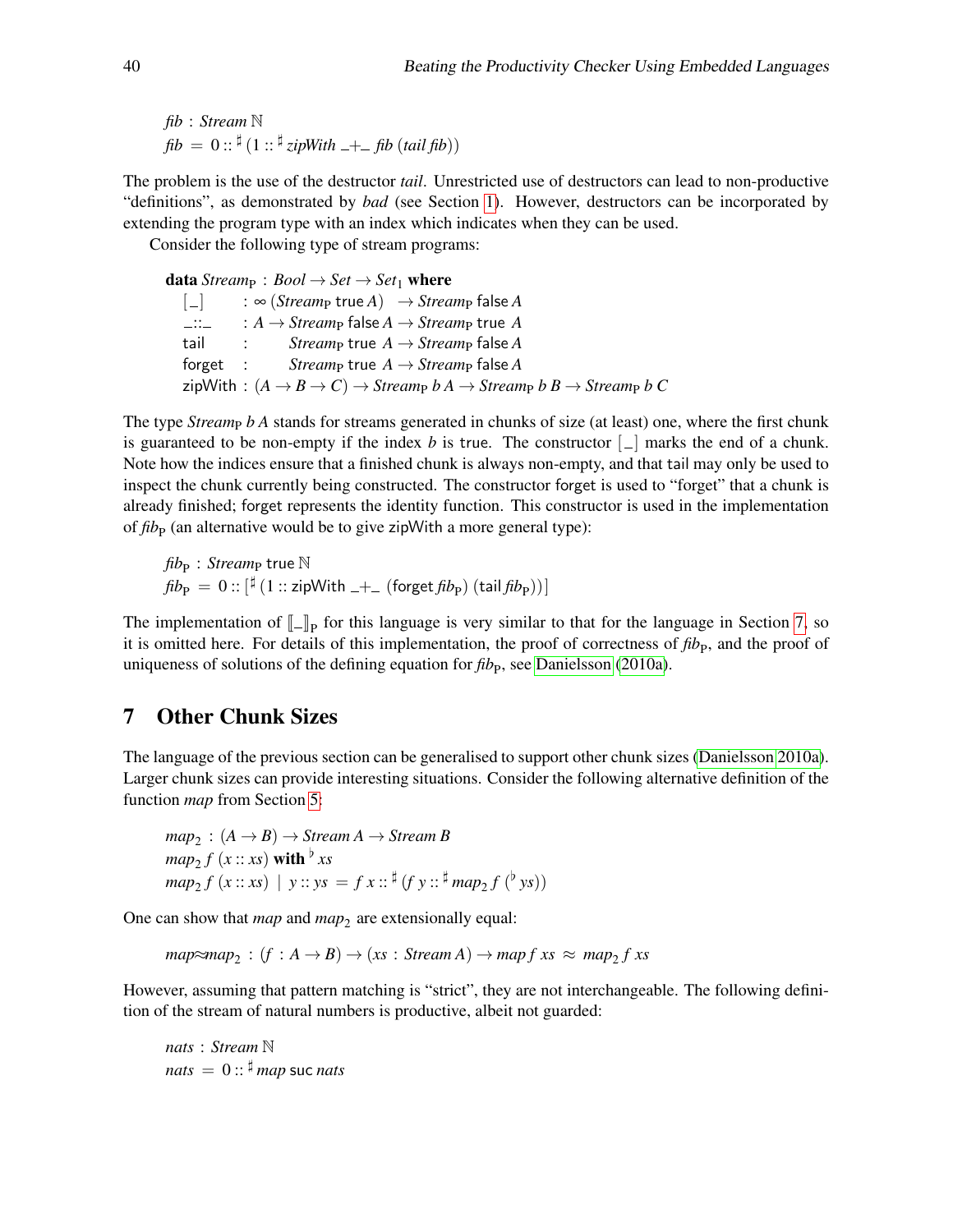*fib* : *Stream* N  $fib = 0$ ::  $\frac{d}{dx}$  (1 ::  $\frac{d}{dx}$  *zipWith*  $-+-$  *fib* (*tail fib*))

The problem is the use of the destructor *tail*. Unrestricted use of destructors can lead to non-productive "definitions", as demonstrated by *bad* (see Section [1\)](#page-0-0). However, destructors can be incorporated by extending the program type with an index which indicates when they can be used.

Consider the following type of stream programs:

data *Stream*<sub>P</sub> : *Bool*  $\rightarrow$  *Set*  $\rightarrow$  *Set*<sub>1</sub> where

 $\begin{bmatrix} \_ \end{bmatrix}$  :  $\infty$  (*Stream*<sub>P</sub> true *A*)  $\rightarrow$  *Stream*<sub>P</sub> false *A*  $\therefore$   $A \rightarrow$  *Stream*<sub>P</sub> false *A*  $\rightarrow$  *Stream*<sub>P</sub> true *A*  $tail$  : *Stream*<sub>P</sub> true  $A \rightarrow Stream$  false  $A$  $1$  *Stream*<sub>P</sub> true  $A \rightarrow$  *Stream*<sub>P</sub> false *A*  $\mathsf{zipWith} : (A \rightarrow B \rightarrow C) \rightarrow \mathsf{Stream}_P \; b \; A \rightarrow \mathsf{Stream}_P \; b \; B \rightarrow \mathsf{Stream}_P \; b \; C$ 

The type *Stream<sub>p</sub> b A* stands for streams generated in chunks of size (at least) one, where the first chunk is guaranteed to be non-empty if the index *b* is true. The constructor  $\lfloor \_ \rfloor$  marks the end of a chunk. Note how the indices ensure that a finished chunk is always non-empty, and that tail may only be used to inspect the chunk currently being constructed. The constructor forget is used to "forget" that a chunk is already finished; forget represents the identity function. This constructor is used in the implementation of *fib*<sub>P</sub> (an alternative would be to give zipWith a more general type):

 $\mathit{fib}_{\mathrm{P}}: \mathit{Stream}_{\mathrm{P}}$  true  $\mathbb N$  $\mathit{fib}_{\mathrm{P}}\,=\,0::[\![\frac{\sharp}{\,}(1::\mathsf{zipWith}\,\bot+\_{}\,(\mathsf{forget}\,\mathit{fib}_{\mathrm{P}})\,(\mathsf{tail}\,\mathit{fib}_{\mathrm{P}}))\,]$ 

The implementation of  $\llbracket \_ \rrbracket$  for this language is very similar to that for the language in Section [7,](#page-11-0) so it is emitted here. For datable of this implementation, the proof of correctness of the and the proof of it is omitted here. For details of this implementation, the proof of correctness of  $fib<sub>P</sub>$ , and the proof of uniqueness of solutions of the defining equation for  $fib<sub>P</sub>$ , see [Danielsson](#page-18-2) [\(2010a\)](#page-18-2).

### <span id="page-11-0"></span>7 Other Chunk Sizes

The language of the previous section can be generalised to support other chunk sizes [\(Danielsson 2010a\)](#page-18-2). Larger chunk sizes can provide interesting situations. Consider the following alternative definition of the function *map* from Section [5:](#page-8-0)

```
map_2\,:(A\rightarrow B)\rightarrow Stream\,A\rightarrow Stream\,Bmap_2 f (x::xs) with \frac{b}{x}xs
map_2 f (x::xs) | y::ys = f x::^{\sharp} (f y::^{\sharp} map_2 f (^{\flat} ys))
```
One can show that *map* and *map*<sub>2</sub> are extensionally equal:

 $map{\approx}map_2$ :  $(f : A \rightarrow B) \rightarrow (xs : Stream A) \rightarrow map f xs \approx map_2 f xs$ 

However, assuming that pattern matching is "strict", they are not interchangeable. The following definition of the stream of natural numbers is productive, albeit not guarded:

*nats* : *Stream* N  $nats = 0$ ::  $\frac{4}{3}$  *map* suc *nats*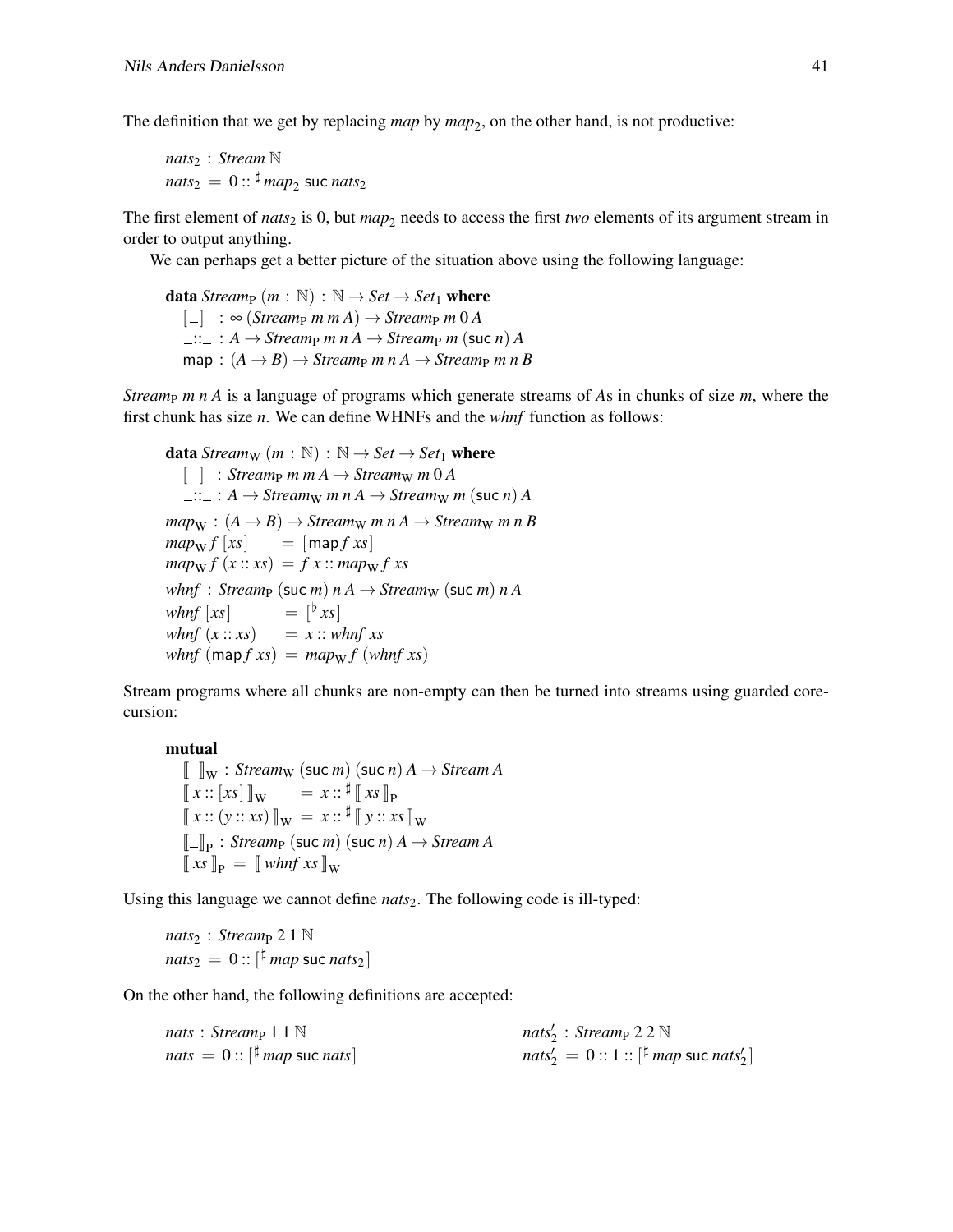The definition that we get by replacing *map* by *map*<sub>2</sub>, on the other hand, is not productive:

*nats*<sup>2</sup> : *Stream* N  $\mathit{mats}_2\,=\,0$  ::  $^\sharp\mathit{map}_2$  suc  $\mathit{nats}_2$ 

The first element of *nats*<sub>2</sub> is 0, but  $map_2$  needs to access the first *two* elements of its argument stream in order to output anything.

We can perhaps get a better picture of the situation above using the following language:

**data** *Stream*<sub>P</sub> (*m* :  $\mathbb{N}$ ) :  $\mathbb{N} \rightarrow$  *Set*  $\rightarrow$  *Set*<sub>1</sub> where  $\begin{bmatrix} \Box \end{bmatrix}$  :  $\infty$  (*Stream<sub>p</sub> m m A*)  $\rightarrow$  *Stream<sub>p</sub> m* 0 *A*  $\Box :: \Box : A \rightarrow \text{Stream}_{\mathsf{P}} \ m \ n \ A \rightarrow \text{Stream}_{\mathsf{P}} \ m \ (\text{succ} \ n) \ A$  $map: (A \rightarrow B) \rightarrow Stream_{P} m n A \rightarrow Stream_{P} m n B$ 

*Stream<sub>P</sub> m n A* is a language of programs which generate streams of *As* in chunks of size *m*, where the first chunk has size *n*. We can define WHNFs and the *whnf* function as follows:

**data** *Stream*<sub>W</sub>  $(m : \mathbb{N}) : \mathbb{N} \rightarrow Set \rightarrow Set_1$  **where**  $\begin{bmatrix} \_ \end{bmatrix}$  : *Streamp m m A*  $\rightarrow$  *Stream<sub>W</sub> m 0 A*  $\lim_{m \to \infty}$ :  $A \to \text{Stream}_{W}$  *m*  $n A \to \text{Stream}_{W}$  *m* (suc *n*) *A*  $map_{\mathbf{W}} : (A \rightarrow B) \rightarrow Stream_{\mathbf{W}} m n A \rightarrow Stream_{\mathbf{W}} m n B$  $map_{\mathbf{W}} f [xs] = [map f xs]$  $map_{\mathbf{W}} f(x:: x s) = f x :: map_{\mathbf{W}} f x s$ *whnf* : *Streamp* (suc *m*)  $n A \rightarrow$  *Stream<sub>W</sub>* (suc *m*)  $n A$ *whnf*  $[xs]$  $=$   $\lceil x^2 \rceil$ *whnf*  $(x:: xs) = x:: whnf xs$ *whnf*  $(map f x s) = map_W f (whnf xs)$ 

Stream programs where all chunks are non-empty can then be turned into streams using guarded corecursion:

#### mutual

```
\llbracket - \rrbracket_W : Streamw (suc m) (suc n) A \rightarrow Stream A\llbracket x :: [xs] \rrbracket_W = x :: \frac{\sharp}{\sharp} \llbracket xs \rrbracket_P\llbracket x :: (y :: xs) \rrbracket_{\mathbf{W}} = x :: \mathbf{\sharp} \llbracket y :: xs \rrbracket_{\mathbf{W}}\llbracket - \rrbracket p \cdot streamp (suc m)<br>\llbracket xs \rrbracket \llbracket \llbracket x s \rrbracket \llbracket \llbracket \llbracket \llbracket \llbracket \llbracket \llbracket \llbracket \llbracket \llbracket \llbracket \llbracket \llbracket \llbracket \llbracket \llbracket \llbracket \llbracket \llbracket \llbracket \llbracket \llbracket \_ \rrbracket_{\mathbf{p}} : \text{Stream}_{\mathbf{P}} (\text{succ } m) (\text{succ } n) A \rightarrow \text{Stream } A
```
Using this language we cannot define *nats*<sub>2</sub>. The following code is ill-typed:

 $nats_2$ : *Stream*<sub>P</sub> 2 1 N  $\mathit{nats}_2\,=\,0::[\![ ^\sharp\, \mathit{map}\,$  suc $\, \mathit{nats}_2]\,$ 

On the other hand, the following definitions are accepted:

| nats: Stream <sub>P</sub> 1 1 $\mathbb N$                                  | nats' <sub>2</sub> : Stream <sub>P</sub> 2 2 $\mathbb N$                          |
|----------------------------------------------------------------------------|-----------------------------------------------------------------------------------|
| $nats = 0$ :: $\left[\frac{\sharp}{n} \text{map} \text{ such that}\right]$ | $nats'_2 = 0$ :: 1 :: $\lceil \frac{\sharp}{n} \rceil$ map suc nats' <sub>2</sub> |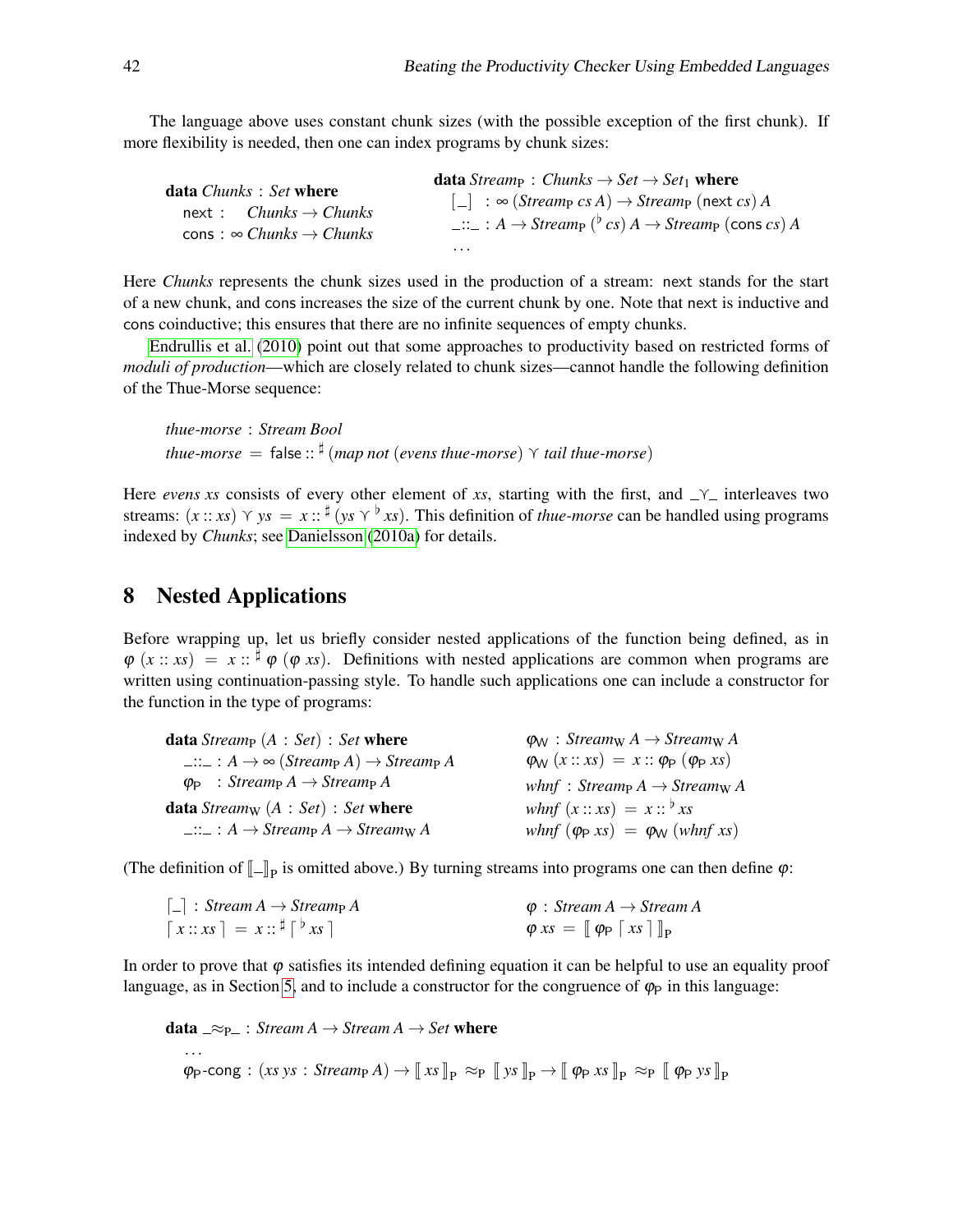The language above uses constant chunk sizes (with the possible exception of the first chunk). If more flexibility is needed, then one can index programs by chunk sizes:

| <b>data</b> <i>Chunks</i> : <i>Set</i> where<br>$next:$ Chunks $\rightarrow$ Chunks | <b>data</b> Stream $:$ Chunks $\rightarrow$ Set $\rightarrow$ Set <sub>1</sub> where<br>$\begin{bmatrix} - \end{bmatrix}$ : $\infty$ ( <i>Stream<sub>p</sub></i> cs A) $\rightarrow$ <i>Stream<sub>p</sub></i> (next cs) A<br>$\ldots$ : $A \rightarrow$ Streamp ( <sup>b</sup> cs) $A \rightarrow$ Streamp (cons cs) A |
|-------------------------------------------------------------------------------------|-------------------------------------------------------------------------------------------------------------------------------------------------------------------------------------------------------------------------------------------------------------------------------------------------------------------------|
| cons: $\infty$ Chunks $\rightarrow$ Chunks                                          |                                                                                                                                                                                                                                                                                                                         |
|                                                                                     | $\cdots$                                                                                                                                                                                                                                                                                                                |

Here *Chunks* represents the chunk sizes used in the production of a stream: next stands for the start of a new chunk, and cons increases the size of the current chunk by one. Note that next is inductive and cons coinductive; this ensures that there are no infinite sequences of empty chunks.

[Endrullis et al.](#page-18-7) [\(2010\)](#page-18-7) point out that some approaches to productivity based on restricted forms of *moduli of production*—which are closely related to chunk sizes—cannot handle the following definition of the Thue-Morse sequence:

*thue-morse* : *Stream Bool thue-morse* = false :: ] (*map not* (*evens thue-morse*) g *tail thue-morse*)

Here *evens xs* consists of every other element of *xs*, starting with the first, and  $\gamma$  interleaves two streams:  $(x:: x<sub>S</sub>) \ Y \ y<sub>S</sub> = x::^{\sharp} (ys \ Y^{\flat} x<sub>S</sub>).$  This definition of *thue-morse* can be handled using programs indexed by *Chunks*; see [Danielsson](#page-18-2) [\(2010a\)](#page-18-2) for details.

#### <span id="page-13-0"></span>8 Nested Applications

Before wrapping up, let us briefly consider nested applications of the function being defined, as in  $\varphi$   $(x:: x_s) = x:: \frac{1}{2}\varphi$   $(\varphi \ x_s)$ . Definitions with nested applications are common when programs are written using continuation-passing style. To handle such applications one can include a constructor for the function in the type of programs:

| $\varphi_{\mathsf{W}}$ : Stream <sub>W</sub> A $\rightarrow$ Stream <sub>W</sub> A |
|------------------------------------------------------------------------------------|
| $\varphi_{\mathsf{W}}(x::xs) = x::\varphi_{\mathsf{P}}(\varphi_{\mathsf{P}}xs)$    |
| whnf: $Stream_{P} A \rightarrow Stream_{W} A$                                      |
| what $(x:: xs) = x::^{\flat} xs$                                                   |
| whnf $(\varphi_P xs) = \varphi_W (whnf xs)$                                        |
|                                                                                    |

(The definition of  $[\![...]\!]_P$  is omitted above.) By turning streams into programs one can then define  $\varphi$ :

| $\lceil \_ \rceil$ : Stream $A \to \text{Stream}_P A$                                   | $\varphi$ : Stream A $\rightarrow$ Stream A                           |
|-----------------------------------------------------------------------------------------|-----------------------------------------------------------------------|
| $\left[x::xs\right] = x::^{\sharp}\left[\begin{array}{c} \flat \\ x \end{array}\right]$ | $\varphi$ xs = $[\varphi_{\mathsf{P}} \mathop{[} x s] ]_{\mathsf{P}}$ |

In order to prove that  $\varphi$  satisfies its intended defining equation it can be helpful to use an equality proof language, as in Section [5,](#page-8-0) and to include a constructor for the congruence of  $\varphi_P$  in this language:

data  $\supseteq \supseteq_F$  : *Stream A*  $\rightarrow$  *Stream A*  $\rightarrow$  *Set* where ...  $\varphi_P$ -cong :  $(xs \text{ y } s : \text{Stream}_P A) \rightarrow \| \text{ x } s \|_P \approx_P \| \text{ y } s \|_P \rightarrow \| \varphi_P \text{ x } s \|_P \approx_P \| \varphi_P \text{ y } s \|_P$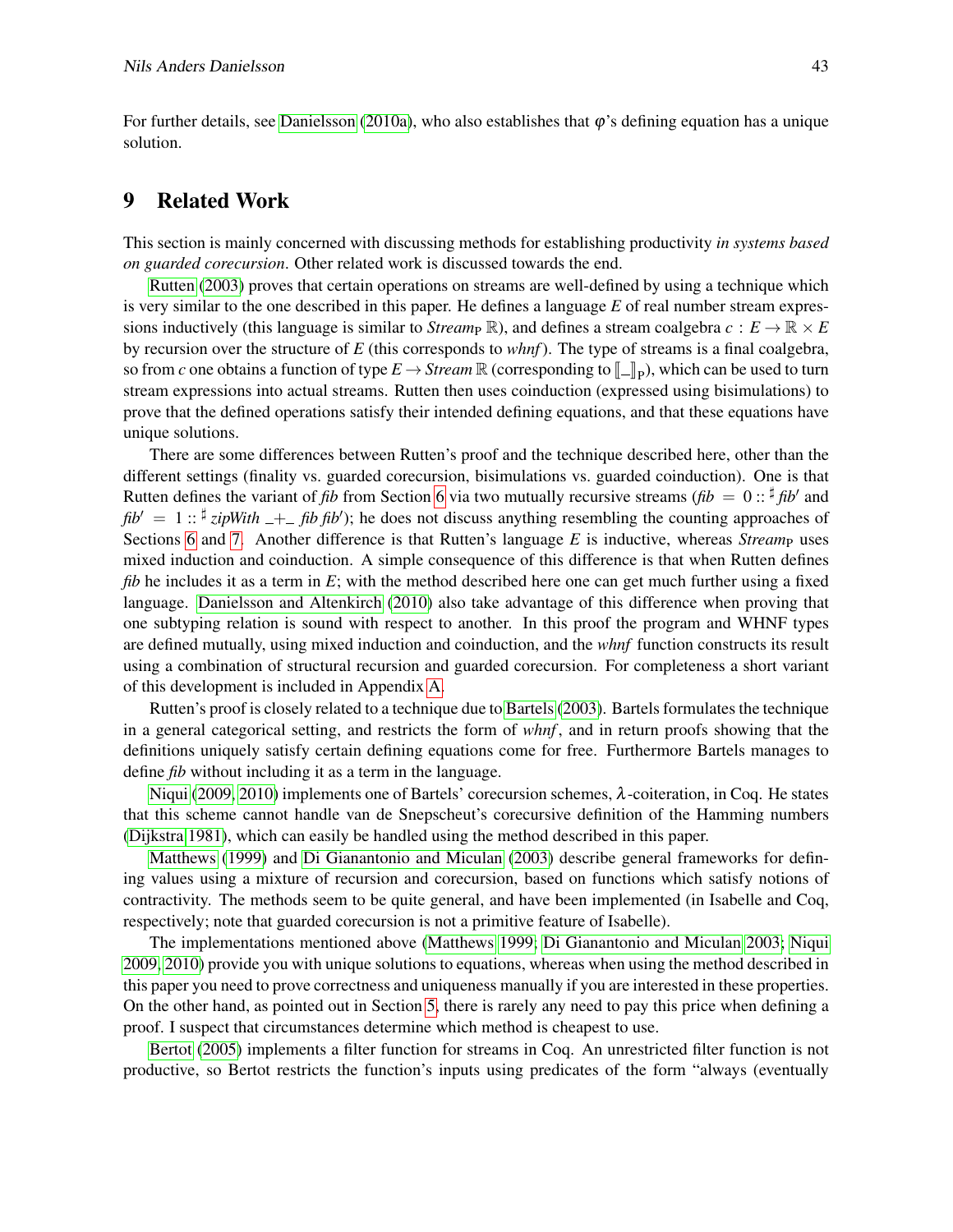For further details, see [Danielsson](#page-18-2) [\(2010a\)](#page-18-2), who also establishes that  $\varphi$ 's defining equation has a unique solution.

### <span id="page-14-0"></span>9 Related Work

This section is mainly concerned with discussing methods for establishing productivity *in systems based on guarded corecursion*. Other related work is discussed towards the end.

[Rutten](#page-19-6) [\(2003\)](#page-19-6) proves that certain operations on streams are well-defined by using a technique which is very similar to the one described in this paper. He defines a language *E* of real number stream expressions inductively (this language is similar to *Stream*<sub>P</sub> R), and defines a stream coalgebra  $c : E \to \mathbb{R} \times E$ by recursion over the structure of *E* (this corresponds to *whnf*). The type of streams is a final coalgebra, so from *c* one obtains a function of type  $E \to \text{Stream} \mathbb{R}$  (corresponding to  $[\![\_]\!]_P$ ), which can be used to turn<br>etreors expressions into estual streams. Button than uses coinduction (expressed using highwalations) to stream expressions into actual streams. Rutten then uses coinduction (expressed using bisimulations) to prove that the defined operations satisfy their intended defining equations, and that these equations have unique solutions.

There are some differences between Rutten's proof and the technique described here, other than the different settings (finality vs. guarded corecursion, bisimulations vs. guarded coinduction). One is that Rutten defines the variant of *fib* from Section [6](#page-10-0) via two mutually recursive streams (*fib* =  $0$  ::  $\frac{d}{dx}$  *fib*<sup>'</sup> and  $fib' = 1$ ::  $\frac{d}{dx}$  *zipWith*  $-$  *+ fib fib'*); he does not discuss anything resembling the counting approaches of Sections [6](#page-10-0) and [7.](#page-11-0) Another difference is that Rutten's language *E* is inductive, whereas *Streamp* uses mixed induction and coinduction. A simple consequence of this difference is that when Rutten defines *fib* he includes it as a term in *E*; with the method described here one can get much further using a fixed language. [Danielsson and Altenkirch](#page-18-4) [\(2010\)](#page-18-4) also take advantage of this difference when proving that one subtyping relation is sound with respect to another. In this proof the program and WHNF types are defined mutually, using mixed induction and coinduction, and the *whnf* function constructs its result using a combination of structural recursion and guarded corecursion. For completeness a short variant of this development is included in Appendix [A.](#page-16-0)

Rutten's proof is closely related to a technique due to [Bartels](#page-18-8) [\(2003\)](#page-18-8). Bartels formulates the technique in a general categorical setting, and restricts the form of *whnf* , and in return proofs showing that the definitions uniquely satisfy certain defining equations come for free. Furthermore Bartels manages to define *fib* without including it as a term in the language.

[Niqui](#page-19-7) [\(2009,](#page-19-7) [2010\)](#page-19-8) implements one of Bartels' corecursion schemes, λ-coiteration, in Coq. He states that this scheme cannot handle van de Snepscheut's corecursive definition of the Hamming numbers [\(Dijkstra 1981\)](#page-18-9), which can easily be handled using the method described in this paper.

[Matthews](#page-19-9) [\(1999\)](#page-19-9) and [Di Gianantonio and Miculan](#page-18-10) [\(2003\)](#page-18-10) describe general frameworks for defining values using a mixture of recursion and corecursion, based on functions which satisfy notions of contractivity. The methods seem to be quite general, and have been implemented (in Isabelle and Coq, respectively; note that guarded corecursion is not a primitive feature of Isabelle).

The implementations mentioned above [\(Matthews 1999;](#page-19-9) [Di Gianantonio and Miculan 2003;](#page-18-10) [Niqui](#page-19-7) [2009,](#page-19-7) [2010\)](#page-19-8) provide you with unique solutions to equations, whereas when using the method described in this paper you need to prove correctness and uniqueness manually if you are interested in these properties. On the other hand, as pointed out in Section [5,](#page-8-0) there is rarely any need to pay this price when defining a proof. I suspect that circumstances determine which method is cheapest to use.

[Bertot](#page-18-3) [\(2005\)](#page-18-3) implements a filter function for streams in Coq. An unrestricted filter function is not productive, so Bertot restricts the function's inputs using predicates of the form "always (eventually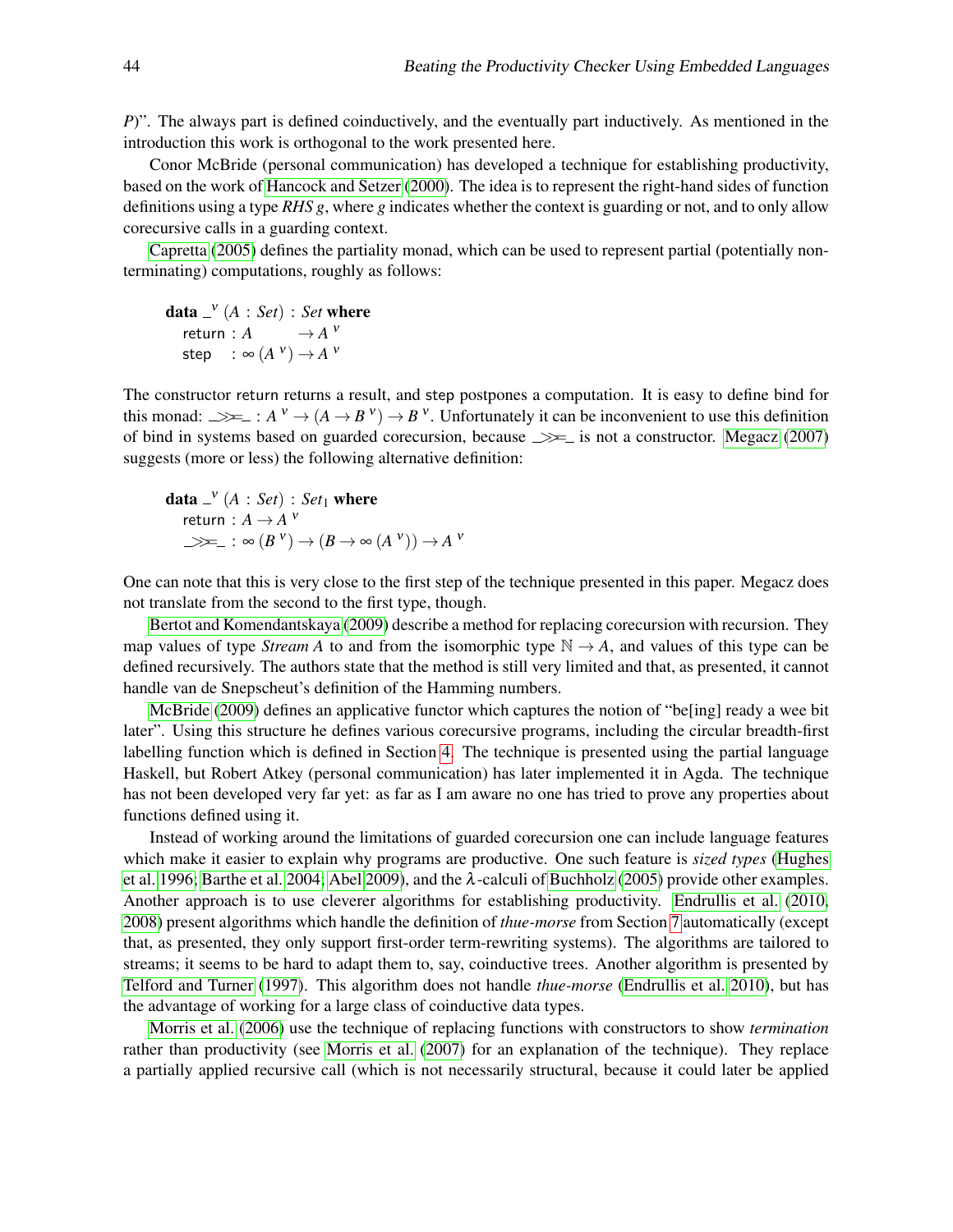*P*)". The always part is defined coinductively, and the eventually part inductively. As mentioned in the introduction this work is orthogonal to the work presented here.

Conor McBride (personal communication) has developed a technique for establishing productivity, based on the work of [Hancock and Setzer](#page-18-11) [\(2000\)](#page-18-11). The idea is to represent the right-hand sides of function definitions using a type *RHS g*, where *g* indicates whether the context is guarding or not, and to only allow corecursive calls in a guarding context.

[Capretta](#page-18-12) [\(2005\)](#page-18-12) defines the partiality monad, which can be used to represent partial (potentially nonterminating) computations, roughly as follows:

**data**  $\lrcorner^{\mathbf{v}}$   $(A : Set) : Set$  where return :  $A \longrightarrow A^V$ step :  $\infty$   $(A^{\vee}) \rightarrow A^{\vee}$ 

The constructor return returns a result, and step postpones a computation. It is easy to define bind for this monad:  $\Rightarrow$   $\Rightarrow$   $: A^{\nu} \rightarrow (A \rightarrow B^{\nu}) \rightarrow B^{\nu}$ . Unfortunately it can be inconvenient to use this definition of bind in systems based on guarded corecursion, because  $\implies$  is not a constructor. [Megacz](#page-19-10) [\(2007\)](#page-19-10) suggests (more or less) the following alternative definition:

**data** 
$$
\_\,v^V(A : Set) : Set_1
$$
 where  
return :  $A \to A^V$   
 $\Longrightarrow \_\_ : \infty (B^V) \to (B \to \infty (A^V)) \to A^V$ 

One can note that this is very close to the first step of the technique presented in this paper. Megacz does not translate from the second to the first type, though.

[Bertot and Komendantskaya](#page-18-13) [\(2009\)](#page-18-13) describe a method for replacing corecursion with recursion. They map values of type *Stream A* to and from the isomorphic type  $\mathbb{N} \to A$ , and values of this type can be defined recursively. The authors state that the method is still very limited and that, as presented, it cannot handle van de Snepscheut's definition of the Hamming numbers.

[McBride](#page-19-11) [\(2009\)](#page-19-11) defines an applicative functor which captures the notion of "be[ing] ready a wee bit later". Using this structure he defines various corecursive programs, including the circular breadth-first labelling function which is defined in Section [4.](#page-5-0) The technique is presented using the partial language Haskell, but Robert Atkey (personal communication) has later implemented it in Agda. The technique has not been developed very far yet: as far as I am aware no one has tried to prove any properties about functions defined using it.

Instead of working around the limitations of guarded corecursion one can include language features which make it easier to explain why programs are productive. One such feature is *sized types* [\(Hughes](#page-19-12) [et al. 1996;](#page-19-12) [Barthe et al. 2004;](#page-18-14) [Abel 2009\)](#page-17-0), and the  $\lambda$ -calculi of [Buchholz](#page-18-15) [\(2005\)](#page-18-15) provide other examples. Another approach is to use cleverer algorithms for establishing productivity. [Endrullis et al.](#page-18-7) [\(2010,](#page-18-7) [2008\)](#page-18-16) present algorithms which handle the definition of *thue-morse* from Section [7](#page-11-0) automatically (except that, as presented, they only support first-order term-rewriting systems). The algorithms are tailored to streams; it seems to be hard to adapt them to, say, coinductive trees. Another algorithm is presented by [Telford and Turner](#page-19-13) [\(1997\)](#page-19-13). This algorithm does not handle *thue-morse* [\(Endrullis et al. 2010\)](#page-18-7), but has the advantage of working for a large class of coinductive data types.

[Morris et al.](#page-19-14) [\(2006\)](#page-19-14) use the technique of replacing functions with constructors to show *termination* rather than productivity (see [Morris et al.](#page-19-15) [\(2007\)](#page-19-15) for an explanation of the technique). They replace a partially applied recursive call (which is not necessarily structural, because it could later be applied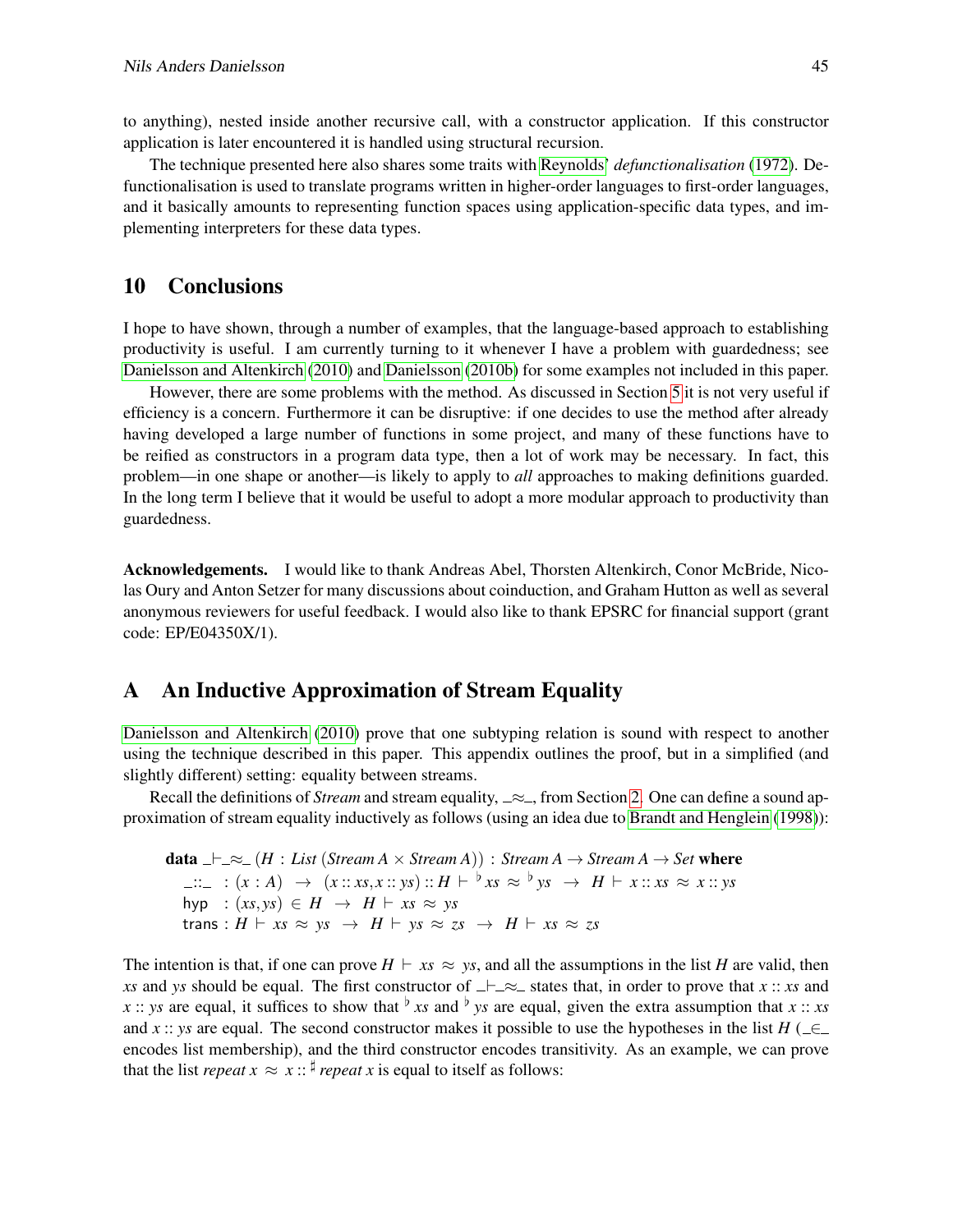to anything), nested inside another recursive call, with a constructor application. If this constructor application is later encountered it is handled using structural recursion.

The technique presented here also shares some traits with [Reynolds'](#page-19-16) *defunctionalisation* [\(1972\)](#page-19-16). Defunctionalisation is used to translate programs written in higher-order languages to first-order languages, and it basically amounts to representing function spaces using application-specific data types, and implementing interpreters for these data types.

#### <span id="page-16-1"></span>10 Conclusions

I hope to have shown, through a number of examples, that the language-based approach to establishing productivity is useful. I am currently turning to it whenever I have a problem with guardedness; see [Danielsson and Altenkirch](#page-18-4) [\(2010\)](#page-18-4) and [Danielsson](#page-18-17) [\(2010b\)](#page-18-17) for some examples not included in this paper.

However, there are some problems with the method. As discussed in Section [5](#page-8-0) it is not very useful if efficiency is a concern. Furthermore it can be disruptive: if one decides to use the method after already having developed a large number of functions in some project, and many of these functions have to be reified as constructors in a program data type, then a lot of work may be necessary. In fact, this problem—in one shape or another—is likely to apply to *all* approaches to making definitions guarded. In the long term I believe that it would be useful to adopt a more modular approach to productivity than guardedness.

Acknowledgements. I would like to thank Andreas Abel, Thorsten Altenkirch, Conor McBride, Nicolas Oury and Anton Setzer for many discussions about coinduction, and Graham Hutton as well as several anonymous reviewers for useful feedback. I would also like to thank EPSRC for financial support (grant code: EP/E04350X/1).

#### <span id="page-16-0"></span>A An Inductive Approximation of Stream Equality

[Danielsson and Altenkirch](#page-18-4) [\(2010\)](#page-18-4) prove that one subtyping relation is sound with respect to another using the technique described in this paper. This appendix outlines the proof, but in a simplified (and slightly different) setting: equality between streams.

Recall the definitions of *Stream* and stream equality,  $\approx$ , from Section [2.](#page-1-0) One can define a sound approximation of stream equality inductively as follows (using an idea due to [Brandt and Henglein](#page-18-18) [\(1998\)](#page-18-18)):

**data**  $\bot \simeq (H : List(Stream A \times Stream A)) : Stream A \rightarrow Stream A \rightarrow Set where$  $::_-$  :  $(x : A) \rightarrow (x :: xs, x :: ys) :: H \vdash \xrightarrow{b} xs \approx \xrightarrow{b} ys \rightarrow H \vdash x :: xs \approx x :: ys$ hyp :  $(xs, ys) \in H \rightarrow H \vdash xs \approx ys$ trans :  $H \vdash xs \approx ys \rightarrow H \vdash ys \approx zs \rightarrow H \vdash xs \approx zs$ 

The intention is that, if one can prove  $H \vdash xs \approx ys$ , and all the assumptions in the list *H* are valid, then *xs* and *ys* should be equal. The first constructor of  $\perp \infty$  states that, in order to prove that *x* :: *xs* and *x* :: *ys* are equal, it suffices to show that  $\frac{b}{x}$  *xs* and  $\frac{b}{y}$  *ys* are equal, given the extra assumption that *x* :: *xs* and *x* :: *ys* are equal. The second constructor makes it possible to use the hypotheses in the list  $H \subset \subset \subset$ encodes list membership), and the third constructor encodes transitivity. As an example, we can prove that the list *repeat*  $x \approx x$ :: <sup> $\sharp$ </sup> *repeat* x is equal to itself as follows: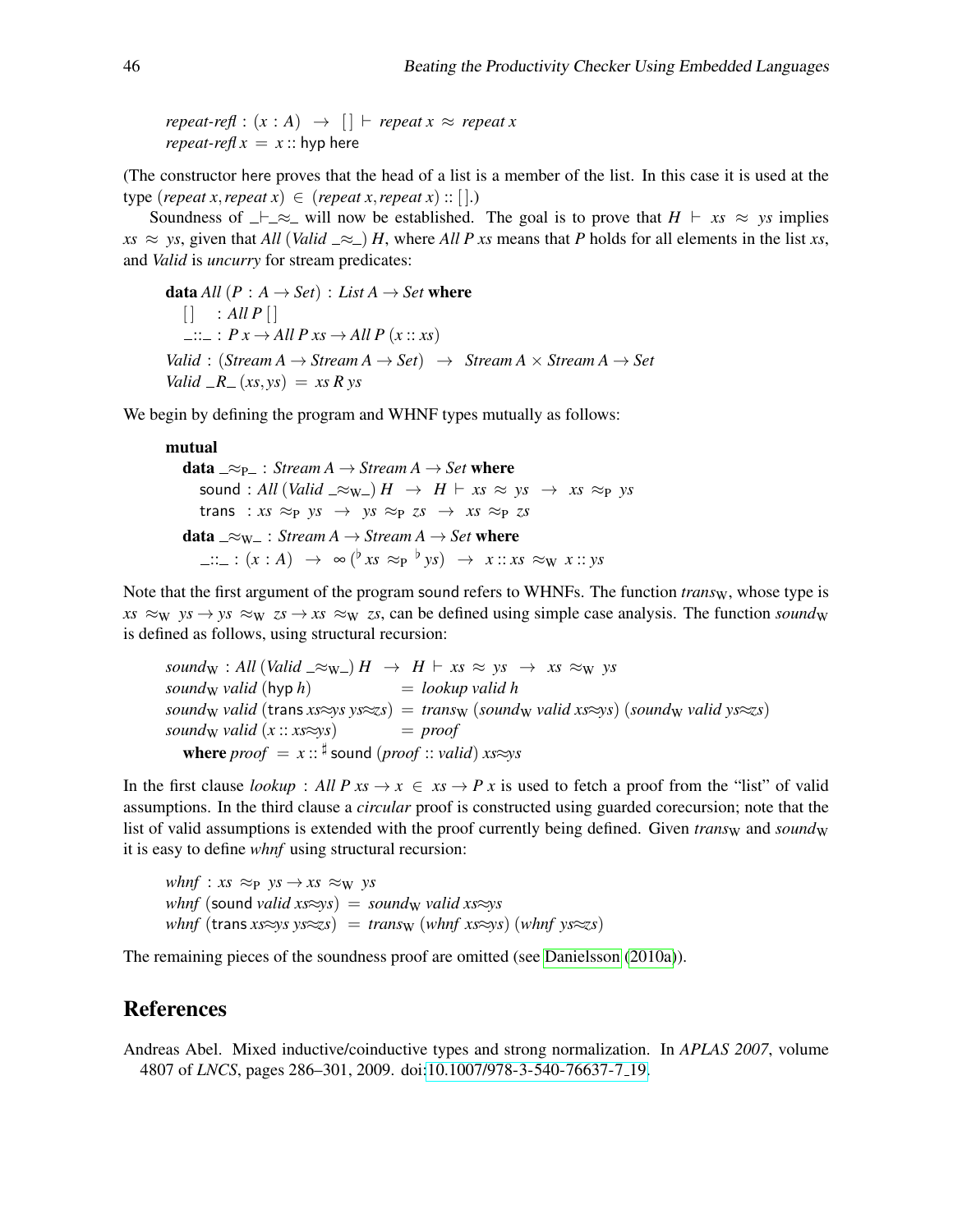$repeated\cdot refl : (x : A) \rightarrow [] \vdash repeat \times \approx repeat \times$ *repeat-refl*  $x = x$  :: hyp here

(The constructor here proves that the head of a list is a member of the list. In this case it is used at the type (*repeat x*, *repeat x*)  $\in$  (*repeat x*, *repeat x*) :: [].)

Soundness of  $\perp \equiv \approx$  will now be established. The goal is to prove that  $H \vdash xs \approx ys$  implies  $xs \approx ys$ , given that *All* (*Valid*  $\approx$  ) *H*, where *All P xs* means that *P* holds for all elements in the list *xs*, and *Valid* is *uncurry* for stream predicates:

**data** *All*  $(P : A \rightarrow Set) : List A \rightarrow Set$  where  $\begin{bmatrix} \cdot & 1 \end{bmatrix}$  : All P  $\begin{bmatrix} \cdot & 1 \end{bmatrix}$  $\therefore$   $\therefore$  *P x*  $\rightarrow$  *All P xs*  $\rightarrow$  *All P (x :: xs)*  $Valid : (Stream A \rightarrow Stream A \rightarrow Set) \rightarrow Stream A \times Stream A \rightarrow Set$ *Valid*  $-R_-(xs, ys) = xs R ys$ 

We begin by defining the program and WHNF types mutually as follows:

#### mutual

data  $\supseteq \supseteq_{\mathsf{P}}$ : *Stream A*  $\rightarrow$  *Stream A*  $\rightarrow$  *Set* where sound : All (*Valid*  $\_\infty$ <sub>W</sub>  $\_\right)$  *H*  $\to$  *H*  $\_\_$  *xs*  $\approx$  *ys*  $\to$  *xs*  $\approx$  *p ys* trans :  $xs \approx_{P} ys \rightarrow ys \approx_{P} zs \rightarrow xs \approx_{P} zs$ data  $\_\approx w_$ : *Stream A*  $\rightarrow$  *Stream A*  $\rightarrow$  *Set* where  $::_- : (x : A) \rightarrow \infty ( \dot{v} x s \approx_P {v} y s) \rightarrow x :: x s \approx_W x :: y s$ 

Note that the first argument of the program sound refers to WHNFs. The function *trans*<sub>W</sub>, whose type is  $xs \approx_W ys \rightarrow ys \approx_W zs \rightarrow xs \approx_W zs$ , can be defined using simple case analysis. The function *sound*<sub>W</sub> is defined as follows, using structural recursion:

 $sound_W : All (Valid \_\infty_W) \ H \ \rightarrow \ H \ \vdash \ xs \ \approx \ ys \ \rightarrow \ xs \ \approx_W \ ys$  $sound_W$  *valid*  $(hyp h)$  = *lookup valid h*  $sound_W$  *valid* (trans  $xs \approx ys \approx zs$ ) = *trans*w (*sound*w *valid xs* $\approx$ *ys*) (*soundw valid ys* $\approx$ *zs*) *sound*<sub>W</sub> *valid*  $(x:: x s \approx y s)$  = *proof*  $\mathbf{where} \, proof = x :: \text{\texttt{\texttt{\#}}} \, \mathbf{sound} \, (proof::valid) \, xs \approx ys$ 

In the first clause *lookup* : *All P xs*  $\rightarrow x \in x$   $\rightarrow P x$  is used to fetch a proof from the "list" of valid assumptions. In the third clause a *circular* proof is constructed using guarded corecursion; note that the list of valid assumptions is extended with the proof currently being defined. Given *trans*<sub>W</sub> and *sound*<sub>W</sub> it is easy to define *whnf* using structural recursion:

*whnf* :  $xs \approx_{\text{P}} ys \rightarrow xs \approx_{\text{W}} ys$ *whnf* (sound *valid xs* $\approx$ *ys*) = *sound*<sub>W</sub> *valid xs* $\approx$ *ys*  $whnf$  (trans  $xs \approx ys \approx zs) = trans_W (whnf \; xs \approx ys)$  (*whnf ys* $\approx z$ *s*)

The remaining pieces of the soundness proof are omitted (see [Danielsson](#page-18-2) [\(2010a\)](#page-18-2)).

#### References

<span id="page-17-0"></span>Andreas Abel. Mixed inductive/coinductive types and strong normalization. In *APLAS 2007*, volume 4807 of *LNCS*, pages 286–301, 2009. doi[:10.1007/978-3-540-76637-7](http://dx.doi.org/10.1007/978-3-540-76637-7_19) 19.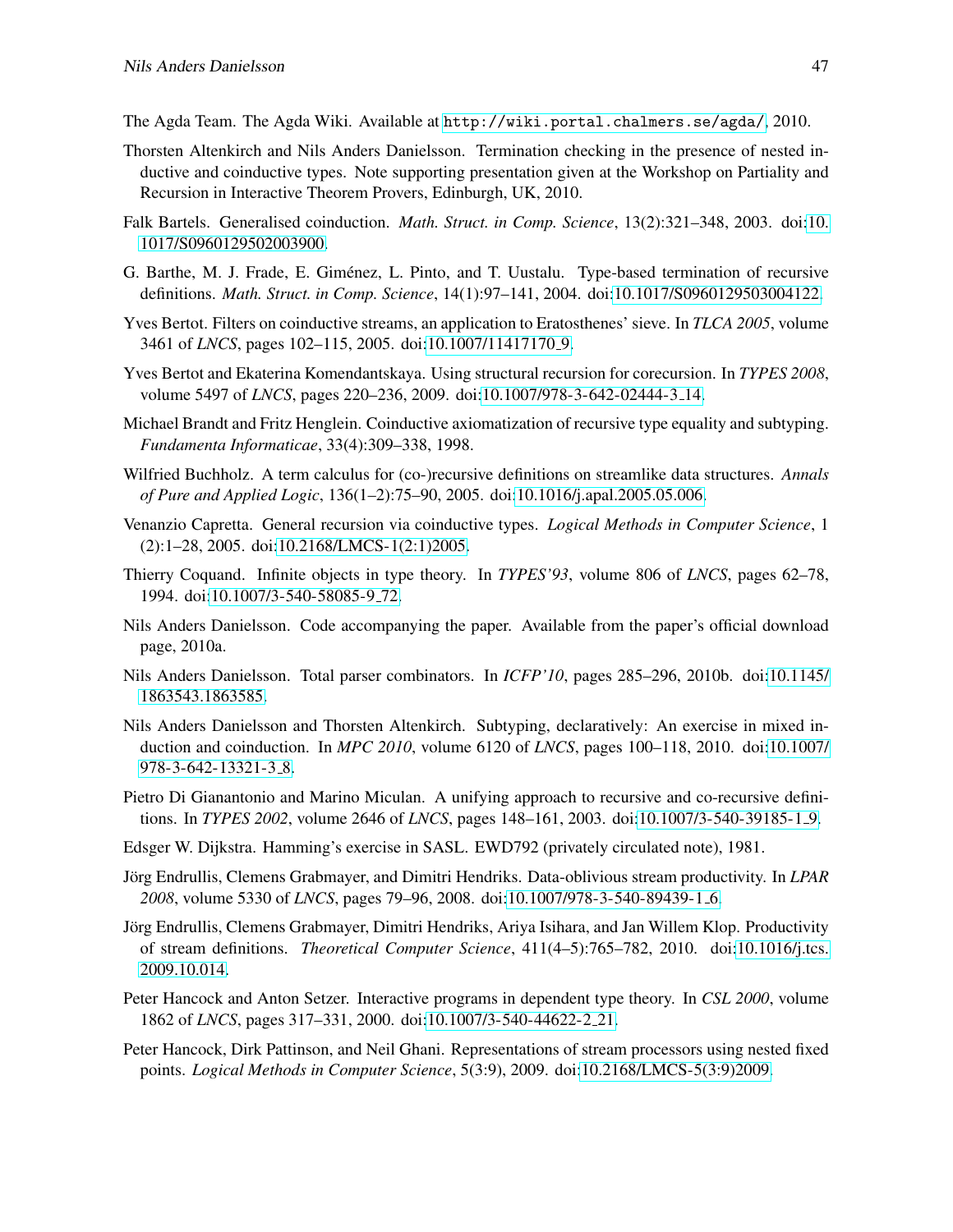<span id="page-18-1"></span>The Agda Team. The Agda Wiki. Available at <http://wiki.portal.chalmers.se/agda/>, 2010.

- <span id="page-18-6"></span>Thorsten Altenkirch and Nils Anders Danielsson. Termination checking in the presence of nested inductive and coinductive types. Note supporting presentation given at the Workshop on Partiality and Recursion in Interactive Theorem Provers, Edinburgh, UK, 2010.
- <span id="page-18-8"></span>Falk Bartels. Generalised coinduction. *Math. Struct. in Comp. Science*, 13(2):321–348, 2003. doi[:10.](http://dx.doi.org/10.1017/S0960129502003900) [1017/S0960129502003900.](http://dx.doi.org/10.1017/S0960129502003900)
- <span id="page-18-14"></span>G. Barthe, M. J. Frade, E. Giménez, L. Pinto, and T. Uustalu. Type-based termination of recursive definitions. *Math. Struct. in Comp. Science*, 14(1):97–141, 2004. doi[:10.1017/S0960129503004122.](http://dx.doi.org/10.1017/S0960129503004122)
- <span id="page-18-3"></span>Yves Bertot. Filters on coinductive streams, an application to Eratosthenes' sieve. In *TLCA 2005*, volume 3461 of *LNCS*, pages 102–115, 2005. doi[:10.1007/11417170](http://dx.doi.org/10.1007/11417170_9) 9.
- <span id="page-18-13"></span>Yves Bertot and Ekaterina Komendantskaya. Using structural recursion for corecursion. In *TYPES 2008*, volume 5497 of *LNCS*, pages 220–236, 2009. doi[:10.1007/978-3-642-02444-3](http://dx.doi.org/10.1007/978-3-642-02444-3_14) 14.
- <span id="page-18-18"></span>Michael Brandt and Fritz Henglein. Coinductive axiomatization of recursive type equality and subtyping. *Fundamenta Informaticae*, 33(4):309–338, 1998.
- <span id="page-18-15"></span>Wilfried Buchholz. A term calculus for (co-)recursive definitions on streamlike data structures. *Annals of Pure and Applied Logic*, 136(1–2):75–90, 2005. doi[:10.1016/j.apal.2005.05.006.](http://dx.doi.org/10.1016/j.apal.2005.05.006)
- <span id="page-18-12"></span>Venanzio Capretta. General recursion via coinductive types. *Logical Methods in Computer Science*, 1 (2):1–28, 2005. doi[:10.2168/LMCS-1\(2:1\)2005.](http://dx.doi.org/10.2168/LMCS-1(2:1)2005)
- <span id="page-18-0"></span>Thierry Coquand. Infinite objects in type theory. In *TYPES'93*, volume 806 of *LNCS*, pages 62–78, 1994. doi[:10.1007/3-540-58085-9](http://dx.doi.org/10.1007/3-540-58085-9_72) 72.
- <span id="page-18-2"></span>Nils Anders Danielsson. Code accompanying the paper. Available from the paper's official download page, 2010a.
- <span id="page-18-17"></span>Nils Anders Danielsson. Total parser combinators. In *ICFP'10*, pages 285–296, 2010b. doi[:10.1145/](http://dx.doi.org/10.1145/1863543.1863585) [1863543.1863585.](http://dx.doi.org/10.1145/1863543.1863585)
- <span id="page-18-4"></span>Nils Anders Danielsson and Thorsten Altenkirch. Subtyping, declaratively: An exercise in mixed induction and coinduction. In *MPC 2010*, volume 6120 of *LNCS*, pages 100–118, 2010. doi[:10.1007/](http://dx.doi.org/10.1007/978-3-642-13321-3_8) [978-3-642-13321-3](http://dx.doi.org/10.1007/978-3-642-13321-3_8)<sub>-8</sub>.
- <span id="page-18-10"></span>Pietro Di Gianantonio and Marino Miculan. A unifying approach to recursive and co-recursive definitions. In *TYPES 2002*, volume 2646 of *LNCS*, pages 148–161, 2003. doi[:10.1007/3-540-39185-1](http://dx.doi.org/10.1007/3-540-39185-1_9) 9.
- <span id="page-18-9"></span>Edsger W. Dijkstra. Hamming's exercise in SASL. EWD792 (privately circulated note), 1981.
- <span id="page-18-16"></span>Jörg Endrullis, Clemens Grabmayer, and Dimitri Hendriks. Data-oblivious stream productivity. In *LPAR 2008*, volume 5330 of *LNCS*, pages 79–96, 2008. doi[:10.1007/978-3-540-89439-1](http://dx.doi.org/10.1007/978-3-540-89439-1_6) 6.
- <span id="page-18-7"></span>Jorg Endrullis, Clemens Grabmayer, Dimitri Hendriks, Ariya Isihara, and Jan Willem Klop. Productivity ¨ of stream definitions. *Theoretical Computer Science*, 411(4–5):765–782, 2010. doi[:10.1016/j.tcs.](http://dx.doi.org/10.1016/j.tcs.2009.10.014) [2009.10.014.](http://dx.doi.org/10.1016/j.tcs.2009.10.014)
- <span id="page-18-11"></span>Peter Hancock and Anton Setzer. Interactive programs in dependent type theory. In *CSL 2000*, volume 1862 of *LNCS*, pages 317–331, 2000. doi[:10.1007/3-540-44622-2](http://dx.doi.org/10.1007/3-540-44622-2_21) 21.
- <span id="page-18-5"></span>Peter Hancock, Dirk Pattinson, and Neil Ghani. Representations of stream processors using nested fixed points. *Logical Methods in Computer Science*, 5(3:9), 2009. doi[:10.2168/LMCS-5\(3:9\)2009.](http://dx.doi.org/10.2168/LMCS-5(3:9)2009)